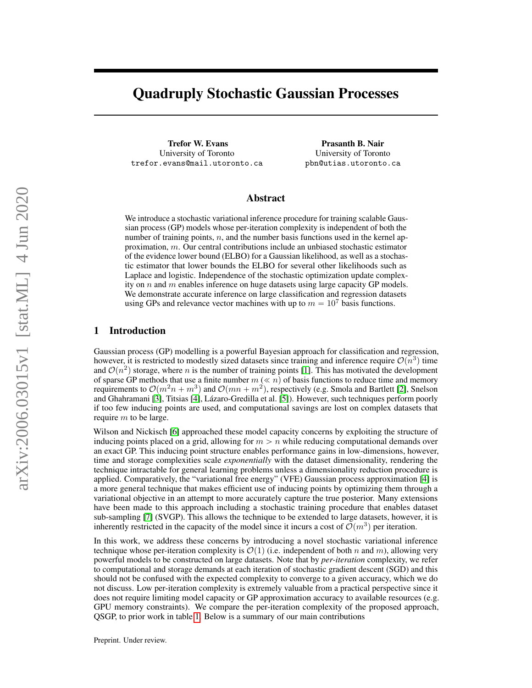# Quadruply Stochastic Gaussian Processes

Trefor W. Evans University of Toronto trefor.evans@mail.utoronto.ca

Prasanth B. Nair University of Toronto pbn@utias.utoronto.ca

# Abstract

We introduce a stochastic variational inference procedure for training scalable Gaussian process (GP) models whose per-iteration complexity is independent of both the number of training points,  $n$ , and the number basis functions used in the kernel approximation, m. Our central contributions include an unbiased stochastic estimator of the evidence lower bound (ELBO) for a Gaussian likelihood, as well as a stochastic estimator that lower bounds the ELBO for several other likelihoods such as Laplace and logistic. Independence of the stochastic optimization update complexity on  $n$  and  $m$  enables inference on huge datasets using large capacity GP models. We demonstrate accurate inference on large classification and regression datasets using GPs and relevance vector machines with up to  $m = 10^7$  basis functions.

### 1 Introduction

Gaussian process (GP) modelling is a powerful Bayesian approach for classification and regression, however, it is restricted to modestly sized datasets since training and inference require  $\mathcal{O}(n^3)$  time and  $\mathcal{O}(n^2)$  storage, where n is the number of training points [\[1\]](#page-8-0). This has motivated the development of sparse GP methods that use a finite number  $m \left( \ll n \right)$  of basis functions to reduce time and memory requirements to  $\mathcal{O}(m^2n + m^3)$  and  $\mathcal{O}(mn + m^2)$ , respectively (e.g. Smola and Bartlett [\[2\]](#page-8-1), Snelson and Ghahramani [\[3\]](#page-8-2), Titsias [\[4\]](#page-8-3), Lázaro-Gredilla et al. [\[5\]](#page-8-4)). However, such techniques perform poorly if too few inducing points are used, and computational savings are lost on complex datasets that require m to be large.

Wilson and Nickisch [\[6\]](#page-8-5) approached these model capacity concerns by exploiting the structure of inducing points placed on a grid, allowing for  $m > n$  while reducing computational demands over an exact GP. This inducing point structure enables performance gains in low-dimensions, however, time and storage complexities scale *exponentially* with the dataset dimensionality, rendering the technique intractable for general learning problems unless a dimensionality reduction procedure is applied. Comparatively, the "variational free energy" (VFE) Gaussian process approximation [\[4\]](#page-8-3) is a more general technique that makes efficient use of inducing points by optimizing them through a variational objective in an attempt to more accurately capture the true posterior. Many extensions have been made to this approach including a stochastic training procedure that enables dataset sub-sampling [\[7\]](#page-8-6) (SVGP). This allows the technique to be extended to large datasets, however, it is inherently restricted in the capacity of the model since it incurs a cost of  $\mathcal{O}(m^3)$  per iteration.

In this work, we address these concerns by introducing a novel stochastic variational inference technique whose per-iteration complexity is  $\mathcal{O}(1)$  (i.e. independent of both n and m), allowing very powerful models to be constructed on large datasets. Note that by *per-iteration* complexity, we refer to computational and storage demands at each iteration of stochastic gradient descent (SGD) and this should not be confused with the expected complexity to converge to a given accuracy, which we do not discuss. Low per-iteration complexity is extremely valuable from a practical perspective since it does not require limiting model capacity or GP approximation accuracy to available resources (e.g. GPU memory constraints). We compare the per-iteration complexity of the proposed approach, QSGP, to prior work in table [1.](#page-1-0) Below is a summary of our main contributions

Preprint. Under review.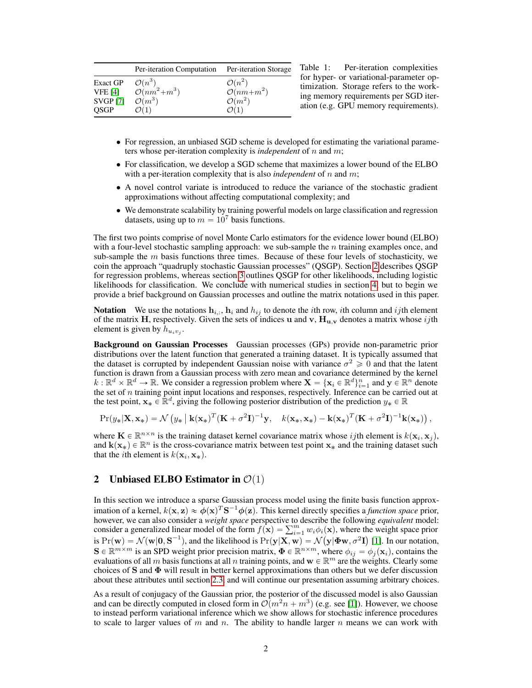|                 | Per-iteration Computation Per-iteration Storage |                       |
|-----------------|-------------------------------------------------|-----------------------|
| Exact GP        | $\mathcal{O}(n^3)$                              | $\mathcal{O}(n^2)$    |
| <b>VFE</b> [4]  | $O(nm^2+m^3)$                                   | $\mathcal{O}(nm+m^2)$ |
| <b>SVGP</b> [7] | $\mathcal{O}(m^3)$                              | $\mathcal{O}(m^2)$    |
| OSGP            | $\mathcal{O}(1)$                                | $\mathcal{O}(1)$      |

<span id="page-1-0"></span>Table 1: Per-iteration complexities for hyper- or variational-parameter optimization. Storage refers to the working memory requirements per SGD iteration (e.g. GPU memory requirements).

- For regression, an unbiased SGD scheme is developed for estimating the variational parameters whose per-iteration complexity is *independent* of n and m;
- For classification, we develop a SGD scheme that maximizes a lower bound of the ELBO with a per-iteration complexity that is also *independent* of n and m;
- A novel control variate is introduced to reduce the variance of the stochastic gradient approximations without affecting computational complexity; and
- We demonstrate scalability by training powerful models on large classification and regression datasets, using up to  $m = 10<sup>7</sup>$  basis functions.

The first two points comprise of novel Monte Carlo estimators for the evidence lower bound (ELBO) with a four-level stochastic sampling approach: we sub-sample the  $n$  training examples once, and sub-sample the  $m$  basis functions three times. Because of these four levels of stochasticity, we coin the approach "quadruply stochastic Gaussian processes" (QSGP). Section [2](#page-1-1) describes QSGP for regression problems, whereas section [3](#page-5-0) outlines QSGP for other likelihoods, including logistic likelihoods for classification. We conclude with numerical studies in section [4,](#page-6-0) but to begin we provide a brief background on Gaussian processes and outline the matrix notations used in this paper.

**Notation** We use the notations  $\mathbf{h}_{i,:}$ ,  $\mathbf{h}_i$  and  $h_{ij}$  to denote the *i*th row, *i*th column and *ij*th element of the matrix H, respectively. Given the sets of indices u and v,  $H_{u,v}$  denotes a matrix whose ijth element is given by  $h_{u_i v_j}$ .

Background on Gaussian Processes Gaussian processes (GPs) provide non-parametric prior distributions over the latent function that generated a training dataset. It is typically assumed that the dataset is corrupted by independent Gaussian noise with variance  $\sigma^2 \geq 0$  and that the latent function is drawn from a Gaussian process with zero mean and covariance determined by the kernel  $k: \mathbb{R}^d \times \mathbb{R}^d \to \mathbb{R}$ . We consider a regression problem where  $\mathbf{X} = {\mathbf{x}_i \in \mathbb{R}^d}_{i=1}^n$  and  $\mathbf{y} \in \mathbb{R}^n$  denote the set of  $n$  training point input locations and responses, respectively. Inference can be carried out at the test point,  $\mathbf{x}_* \in \mathbb{R}^d$ , giving the following posterior distribution of the prediction  $y_* \in \mathbb{R}$ 

$$
\Pr(y_*|{\mathbf{X}},{\mathbf{x}}_*) = \mathcal{N}\left(y_*\left\vert\right. {\mathbf{k}}({\mathbf{x}}_*)^T({\mathbf{K}}+\sigma^2{\mathbf{I}})^{-1}{\mathbf{y}}, \quad k({\mathbf{x}}_*,{\mathbf{x}}_*) - {\mathbf{k}}({\mathbf{x}}_*)^T({\mathbf{K}}+\sigma^2{\mathbf{I}})^{-1}{\mathbf{k}}({\mathbf{x}}_*)\right),
$$

where  $\mathbf{K} \in \mathbb{R}^{n \times n}$  is the training dataset kernel covariance matrix whose ijth element is  $k(\mathbf{x}_i, \mathbf{x}_j)$ , and  $\mathbf{k}(\mathbf{x}_*) \in \mathbb{R}^n$  is the cross-covariance matrix between test point  $\mathbf{x}_*$  and the training dataset such that the *i*th element is  $k(\mathbf{x}_i, \mathbf{x}_*)$ .

## <span id="page-1-1"></span>2 Unbiased ELBO Estimator in  $\mathcal{O}(1)$

In this section we introduce a sparse Gaussian process model using the finite basis function approximation of a kernel,  $k(x, z) \approx \phi(x)^T S^{-1} \phi(z)$ . This kernel directly specifies a *function space* prior, however, we can also consider a *weight space* perspective to describe the following *equivalent* model:<br>consider a generalized linear model of the form  $f(\mathbf{x}) = \sum_{i=1}^{m} w_i \phi_i(\mathbf{x})$ , where the weight space prior is  $Pr(\mathbf{w}) = \mathcal{N}(\mathbf{w}|\mathbf{0}, \mathbf{S}^{-1})$ , and the likelihood is  $Pr(\mathbf{y}|\mathbf{X}, \mathbf{w}) = \mathcal{N}(\mathbf{y}|\mathbf{\Phi}\mathbf{w}, \sigma^2\mathbf{I})$  [\[1\]](#page-8-0). In our notation,  $S \in \mathbb{R}^{m \times m}$  is an SPD weight prior precision matrix,  $\Phi \in \mathbb{R}^{n \times m}$ , where  $\phi_{ij} = \phi_j(\mathbf{x}_i)$ , contains the evaluations of all m basis functions at all n training points, and  $w \in \mathbb{R}^m$  are the weights. Clearly some choices of S and  $\Phi$  will result in better kernel approximations than others but we defer discussion about these attributes until section [2.3,](#page-3-0) and will continue our presentation assuming arbitrary choices.

As a result of conjugacy of the Gaussian prior, the posterior of the discussed model is also Gaussian and can be directly computed in closed form in  $\mathcal{O}(m^2n + m^3)$  (e.g. see [\[1\]](#page-8-0)). However, we choose to instead perform variational inference which we show allows for stochastic inference procedures to scale to larger values of m and n. The ability to handle larger n means we can work with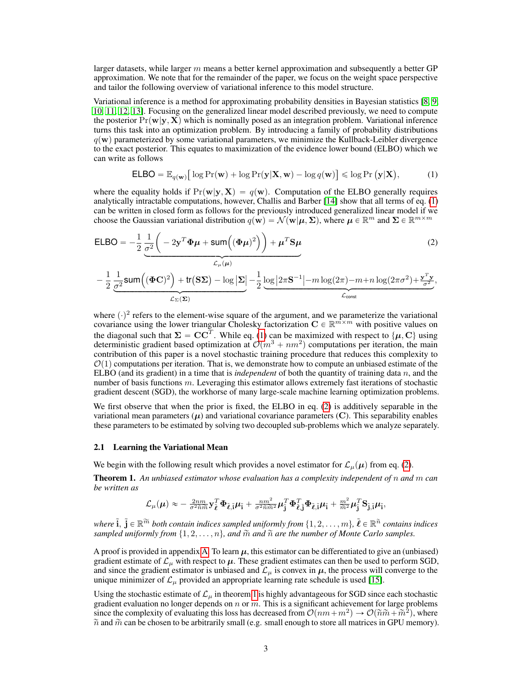larger datasets, while larger  $m$  means a better kernel approximation and subsequently a better GP approximation. We note that for the remainder of the paper, we focus on the weight space perspective and tailor the following overview of variational inference to this model structure.

Variational inference is a method for approximating probability densities in Bayesian statistics [\[8,](#page-8-7) [9,](#page-8-8) [10,](#page-8-9) [11,](#page-8-10) [12,](#page-8-11) [13\]](#page-8-12). Focusing on the generalized linear model described previously, we need to compute the posterior  $Pr(\mathbf{w}|\mathbf{y}, \mathbf{X})$  which is nominally posed as an integration problem. Variational inference turns this task into an optimization problem. By introducing a family of probability distributions  $q(\mathbf{w})$  parameterized by some variational parameters, we minimize the Kullback-Leibler divergence to the exact posterior. This equates to maximization of the evidence lower bound (ELBO) which we can write as follows

<span id="page-2-1"></span><span id="page-2-0"></span>
$$
\mathsf{ELBO} = \mathbb{E}_{q(\mathbf{w})} \big[ \log \Pr(\mathbf{w}) + \log \Pr(\mathbf{y} | \mathbf{X}, \mathbf{w}) - \log q(\mathbf{w}) \big] \leq \log \Pr(\mathbf{y} | \mathbf{X}), \tag{1}
$$

where the equality holds if  $Pr(\mathbf{w}|\mathbf{y}, \mathbf{X}) = q(\mathbf{w})$ . Computation of the ELBO generally requires analytically intractable computations, however, Challis and Barber [\[14\]](#page-8-13) show that all terms of eq. [\(1\)](#page-2-0) can be written in closed form as follows for the previously introduced generalized linear model if we choose the Gaussian variational distribution  $q(\mathbf{w}) = \mathcal{N}(\mathbf{w}|\boldsymbol{\mu}, \boldsymbol{\Sigma})$ , where  $\boldsymbol{\mu} \in \mathbb{R}^m$  and  $\boldsymbol{\Sigma} \in \mathbb{R}^{m \times m}$ 

$$
\begin{split} \mathsf{ELBO} &= -\frac{1}{2} \underbrace{\frac{1}{\sigma^2} \bigg( -2\mathbf{y}^T \boldsymbol{\Phi} \boldsymbol{\mu} + \mathsf{sum} \bigg( (\boldsymbol{\Phi} \boldsymbol{\mu})^2 \bigg) \bigg) + \boldsymbol{\mu}^T \mathbf{S} \boldsymbol{\mu}}_{\mathcal{L}_{\mu}(\boldsymbol{\mu})} \\ &- \frac{1}{2} \underbrace{\frac{1}{\sigma^2} \mathsf{sum} \bigg( (\boldsymbol{\Phi} \mathbf{C})^2 \bigg) + \text{tr}(\mathbf{S} \boldsymbol{\Sigma}) - \log |\boldsymbol{\Sigma}|}_{\mathcal{L}_{\Sigma}(\boldsymbol{\Sigma})} - \frac{1}{2} \underbrace{\log |2\pi \mathbf{S}^{-1}| - m \log(2\pi) - m + n \log(2\pi\sigma^2) + \frac{\mathbf{y}^T \mathbf{y}}{\sigma^2}}_{\mathcal{L}_{\text{const}}}, \end{split} \tag{2}
$$

where  $\langle \cdot \rangle^2$  refers to the element-wise square of the argument, and we parameterize the variational covariance using the lower triangular Cholesky factorization  $C \in \mathbb{R}^{m \times m}$  with positive values on the diagonal such that  $\Sigma = CC^T$ . While eq. [\(1\)](#page-2-0) can be maximized with respect to  $\{\mu, C\}$  using deterministic gradient based optimization at  $\mathcal{O}(m^3 + nm^2)$  computations per iteration, the main contribution of this paper is a novel stochastic training procedure that reduces this complexity to  $\mathcal{O}(1)$  computations per iteration. That is, we demonstrate how to compute an unbiased estimate of the ELBO (and its gradient) in a time that is *independent* of both the quantity of training data  $n$ , and the number of basis functions m. Leveraging this estimator allows extremely fast iterations of stochastic gradient descent (SGD), the workhorse of many large-scale machine learning optimization problems.

We first observe that when the prior is fixed, the ELBO in eq. [\(2\)](#page-2-1) is additively separable in the variational mean parameters  $(\mu)$  and variational covariance parameters  $(C)$ . This separability enables these parameters to be estimated by solving two decoupled sub-problems which we analyze separately.

#### 2.1 Learning the Variational Mean

We begin with the following result which provides a novel estimator for  $\mathcal{L}_{\mu}(\mu)$  from eq. [\(2\)](#page-2-1).

<span id="page-2-2"></span>Theorem 1. *An unbiased estimator whose evaluation has a complexity independent of* n *and* m *can be written as*

$$
\mathcal{L}_{\mu}(\mu) \approx -\tfrac{2nm}{\sigma^2\widetilde{n}\widetilde{m}}\mathbf{y}_{\widetilde{\boldsymbol{\ell}}}^T\boldsymbol{\Phi}_{\widetilde{\boldsymbol{\ell}},\widetilde{\mathbf{i}}} \mu_{\widetilde{\mathbf{i}}} + \tfrac{nm^2}{\sigma^2\widetilde{n}\widetilde{m}^2}\mu_{\widetilde{\mathbf{j}}}^T\boldsymbol{\Phi}_{\widetilde{\boldsymbol{\ell}},\widetilde{\mathbf{j}}}^T\boldsymbol{\Phi}_{\widetilde{\boldsymbol{\ell}},\widetilde{\mathbf{i}}} \mu_{\widetilde{\mathbf{i}}} + \tfrac{m^2}{\widetilde{m}^2}\mu_{\widetilde{\mathbf{j}}}^T\mathbf{S}_{\widetilde{\mathbf{j}},\widetilde{\mathbf{i}}} \mu_{\widetilde{\mathbf{i}}},
$$

where  $\tilde{\bf i},\,\tilde{\bf j}\in\mathbb R^{\widetilde{m}}$  both contain indices sampled uniformly from  $\{1,2,\ldots,m\},\,\tilde{\pmb{\ell}}\in\mathbb R^{\widetilde{n}}$  contains indices sampled uniformly from  $\{1, 2, \ldots, n\}$ , and  $\widetilde{m}$  and  $\widetilde{n}$  are the number of Monte Carlo samples.

A proof is provided in appendix [A.](#page-11-0) To learn  $\mu$ , this estimator can be differentiated to give an (unbiased) gradient estimate of  $\mathcal{L}_{\mu}$  with respect to  $\mu$ . These gradient estimates can then be used to perform SGD, and since the gradient estimator is unbiased and  $\mathcal{L}_{\mu}$  is convex in  $\mu$ , the process will converge to the unique minimizer of  $\mathcal{L}_{\mu}$  provided an appropriate learning rate schedule is used [\[15\]](#page-8-14).

Using the stochastic estimate of  $\mathcal{L}_{\mu}$  in theorem [1](#page-2-2) is highly advantageous for SGD since each stochastic gradient evaluation no longer depends on  $n$  or  $m$ . This is a significant achievement for large problems since the complexity of evaluating this loss has decreased from  $\mathcal{O}(nm+m^2) \to \mathcal{O}(\tilde{n}\tilde{m} + \tilde{m}^2)$ , where  $\tilde{n}$  and  $\tilde{m}$  can be chosen to be arbitrarily small (e.g. small enough to store all matrices in GPU memory).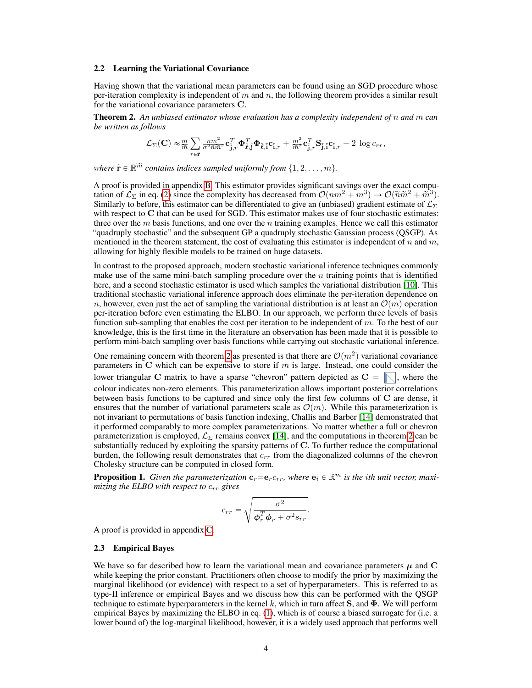#### 2.2 Learning the Variational Covariance

Having shown that the variational mean parameters can be found using an SGD procedure whose per-iteration complexity is independent of  $m$  and  $n$ , the following theorem provides a similar result for the variational covariance parameters C.

<span id="page-3-1"></span>Theorem 2. *An unbiased estimator whose evaluation has a complexity independent of* n *and* m *can be written as follows*

$$
\mathcal{L}_{\Sigma}(\mathbf{C}) \approx \frac{m}{\widetilde{m}} \sum_{r \in \widetilde{\mathbf{r}}} \frac{nm^2}{\sigma^2 \widetilde{n} \widetilde{m}^2} \mathbf{c}_{\widetilde{\mathbf{j}},r}^T \boldsymbol{\Phi}_{\widetilde{\boldsymbol{\ell}},\widetilde{\mathbf{j}}}^T \boldsymbol{\Phi}_{\widetilde{\boldsymbol{\ell}},\widetilde{\mathbf{j}}} \mathbf{c}_{\widetilde{\mathbf{i}},r} + \frac{m^2}{\widetilde{m}^2} \mathbf{c}_{\widetilde{\mathbf{j}},r}^T \mathbf{S}_{\widetilde{\mathbf{j}},\widetilde{\mathbf{i}}} \mathbf{c}_{\widetilde{\mathbf{i}},r} - 2 \log c_{rr},
$$

where  $\tilde{\mathbf{r}} \in \mathbb{R}^{\widetilde{m}}$  *contains indices sampled uniformly from*  $\{1, 2, \ldots, m\}$ *.* 

A proof is provided in appendix [B.](#page-11-1) This estimator provides significant savings over the exact computation of  $\mathcal{L}_{\Sigma}$  in eq. [\(2\)](#page-2-1) since the complexity has decreased from  $\mathcal{O}(nm^2 + m^3) \to \mathcal{O}(\tilde{n}\tilde{m}^2 + \tilde{m}^3)$ . Similarly to before, this estimator can be differentiated to give an (unbiased) gradient estimate of  $\mathcal{L}_{\Sigma}$ with respect to C that can be used for SGD. This estimator makes use of four stochastic estimates: three over the  $m$  basis functions, and one over the  $n$  training examples. Hence we call this estimator "quadruply stochastic" and the subsequent GP a quadruply stochastic Gaussian process (QSGP). As mentioned in the theorem statement, the cost of evaluating this estimator is independent of  $n$  and  $m$ , allowing for highly flexible models to be trained on huge datasets.

In contrast to the proposed approach, modern stochastic variational inference techniques commonly make use of the same mini-batch sampling procedure over the  $n$  training points that is identified here, and a second stochastic estimator is used which samples the variational distribution [\[10\]](#page-8-9). This traditional stochastic variational inference approach does eliminate the per-iteration dependence on n, however, even just the act of sampling the variational distribution is at least an  $\mathcal{O}(m)$  operation per-iteration before even estimating the ELBO. In our approach, we perform three levels of basis function sub-sampling that enables the cost per iteration to be independent of m. To the best of our knowledge, this is the first time in the literature an observation has been made that it is possible to perform mini-batch sampling over basis functions while carrying out stochastic variational inference.

One remaining concern with theorem [2](#page-3-1) as presented is that there are  $\mathcal{O}(m^2)$  variational covariance parameters in  $C$  which can be expensive to store if  $m$  is large. Instead, one could consider the lower triangular C matrix to have a sparse "chevron" pattern depicted as  $C = \mathbb{N}$ , where the colour indicates non-zero elements. This parameterization allows important posterior correlations between basis functions to be captured and since only the first few columns of C are dense, it ensures that the number of variational parameters scale as  $\mathcal{O}(m)$ . While this parameterization is not invariant to permutations of basis function indexing, Challis and Barber [\[14\]](#page-8-13) demonstrated that it performed comparably to more complex parameterizations. No matter whether a full or chevron parameterization is employed,  $\mathcal{L}_{\Sigma}$  remains convex [\[14\]](#page-8-13), and the computations in theorem [2](#page-3-1) can be substantially reduced by exploiting the sparsity patterns of C. To further reduce the computational burden, the following result demonstrates that  $c_{rr}$  from the diagonalized columns of the chevron Cholesky structure can be computed in closed form.

<span id="page-3-2"></span>**Proposition 1.** Given the parameterization  $c_r = e_r c_{rr}$ , where  $e_i \in \mathbb{R}^m$  is the ith unit vector, maxi*mizing the ELBO with respect to*  $c_{rr}$  *gives* 

$$
c_{rr} = \sqrt{\frac{\sigma^2}{\phi_r^T \phi_r + \sigma^2 s_{rr}}}.
$$

A proof is provided in appendix [C.](#page-12-0)

#### <span id="page-3-0"></span>2.3 Empirical Bayes

We have so far described how to learn the variational mean and covariance parameters  $\mu$  and C while keeping the prior constant. Practitioners often choose to modify the prior by maximizing the marginal likelihood (or evidence) with respect to a set of hyperparameters. This is referred to as type-II inference or empirical Bayes and we discuss how this can be performed with the QSGP technique to estimate hyperparameters in the kernel k, which in turn affect S, and  $\Phi$ . We will perform empirical Bayes by maximizing the ELBO in eq. [\(1\)](#page-2-0), which is of course a biased surrogate for (i.e. a lower bound of) the log-marginal likelihood, however, it is a widely used approach that performs well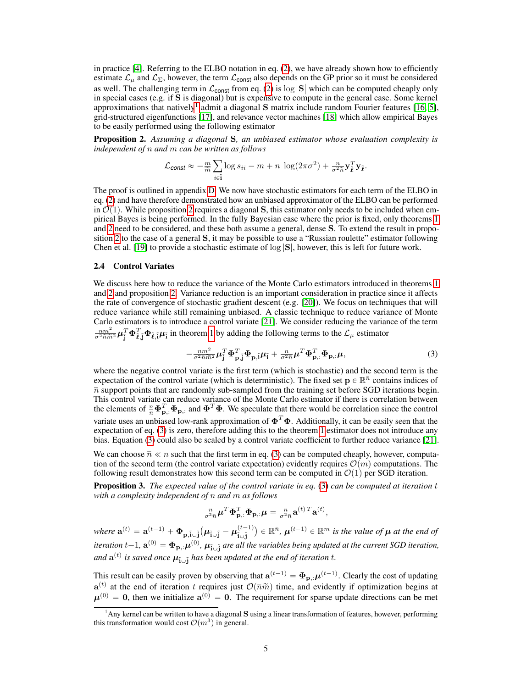in practice  $[4]$ . Referring to the ELBO notation in eq.  $(2)$ , we have already shown how to efficiently estimate  $\mathcal{L}_{\mu}$  and  $\mathcal{L}_{\Sigma}$ , however, the term  $\mathcal{L}_{\text{const}}$  also depends on the GP prior so it must be considered as well. The challenging term in  $\mathcal{L}_{\text{const}}$  from eq. [\(2\)](#page-2-1) is log  $|\mathbf{S}|$  which can be computed cheaply only in special cases (e.g. if S is diagonal) but is expensive to compute in the general case. Some kernel approximations that natively<sup>[1](#page-4-0)</sup> admit a diagonal S matrix include random Fourier features [\[16,](#page-8-15) [5\]](#page-8-4), grid-structured eigenfunctions [\[17\]](#page-8-16), and relevance vector machines [\[18\]](#page-9-0) which allow empirical Bayes to be easily performed using the following estimator

<span id="page-4-1"></span>Proposition 2. *Assuming a diagonal* S*, an unbiased estimator whose evaluation complexity is independent of* n *and* m *can be written as follows*

$$
\mathcal{L}_{\text{const}} \approx -\frac{m}{\widetilde{m}} \sum_{i \in \widetilde{\mathbf{i}}} \log s_{ii} - m + n \, \log(2\pi\sigma^2) + \frac{n}{\sigma^2 \widetilde{n}} \mathbf{y}_{\widetilde{\boldsymbol{\ell}}}^T \mathbf{y}_{\widetilde{\boldsymbol{\ell}}}.
$$

The proof is outlined in appendix [D.](#page-12-1) We now have stochastic estimators for each term of the ELBO in eq. [\(2\)](#page-2-1) and have therefore demonstrated how an unbiased approximator of the ELBO can be performed in  $\mathcal{O}(1)$ . While proposition [2](#page-4-1) requires a diagonal S, this estimator only needs to be included when empirical Bayes is being performed. In the fully Bayesian case where the prior is fixed, only theorems [1](#page-2-2) and [2](#page-3-1) need to be considered, and these both assume a general, dense S. To extend the result in proposition [2](#page-4-1) to the case of a general S, it may be possible to use a "Russian roulette" estimator following Chen et al. [\[19\]](#page-9-1) to provide a stochastic estimate of  $\log |S|$ , however, this is left for future work.

### <span id="page-4-4"></span>2.4 Control Variates

We discuss here how to reduce the variance of the Monte Carlo estimators introduced in theorems [1](#page-2-2) and [2](#page-3-1) and proposition [2.](#page-4-1) Variance reduction is an important consideration in practice since it affects the rate of convergence of stochastic gradient descent (e.g. [\[20\]](#page-9-2)). We focus on techniques that will reduce variance while still remaining unbiased. A classic technique to reduce variance of Monte Carlo estimators is to introduce a control variate [\[21\]](#page-9-3). We consider reducing the variance of the term  $\frac{nm^2}{\sigma^2 \widetilde{n}\widetilde{m}^2} \boldsymbol{\mu}_{\mathbf{j}}^T \boldsymbol{\Phi}_{\ell}^T \mathbf{j} \boldsymbol{\Phi}_{\ell}$  in theorem [1](#page-2-2) by adding the following terms to the  $\mathcal{L}_{\mu}$  estimator

<span id="page-4-2"></span>
$$
-\frac{nm^2}{\sigma^2 \bar{n} \widetilde{m}^2} \boldsymbol{\mu}_{\mathbf{J}}^T \boldsymbol{\Phi}_{\mathbf{p},\widetilde{\mathbf{J}}}^T \boldsymbol{\Phi}_{\mathbf{p},\widetilde{\mathbf{I}}} \boldsymbol{\mu}_{\widetilde{\mathbf{I}}} + \frac{n}{\sigma^2 \bar{n}} \boldsymbol{\mu}^T \boldsymbol{\Phi}_{\mathbf{p},\widetilde{\mathbf{I}}}^T \boldsymbol{\Phi}_{\mathbf{p},\widetilde{\mathbf{I}}} \boldsymbol{\mu},\tag{3}
$$

where the negative control variate is the first term (which is stochastic) and the second term is the expectation of the control variate (which is deterministic). The fixed set  $\mathbf{p} \in \mathbb{R}^n$  contains indices of  $\bar{n}$  support points that are randomly sub-sampled from the training set before SGD iterations begin. This control variate can reduce variance of the Monte Carlo estimator if there is correlation between the elements of  $\frac{n}{n} \Phi_{\mathbf{p},:}^T \Phi_{\mathbf{p},:}$  and  $\Phi^T \Phi$ . We speculate that there would be correlation since the control variate uses an unbiased low-rank approximation of  $\mathbf{\Phi}^T \mathbf{\Phi}$ . Additionally, it can be easily seen that the expectation of eq. [\(3\)](#page-4-2) is zero, therefore adding this to the theorem [1](#page-2-2) estimator does not introduce any bias. Equation [\(3\)](#page-4-2) could also be scaled by a control variate coefficient to further reduce variance [\[21\]](#page-9-3).

We can choose  $\bar{n} \ll n$  such that the first term in eq. [\(3\)](#page-4-2) can be computed cheaply, however, computation of the second term (the control variate expectation) evidently requires  $\mathcal{O}(m)$  computations. The following result demonstrates how this second term can be computed in  $\mathcal{O}(1)$  per SGD iteration.

<span id="page-4-3"></span>Proposition 3. *The expected value of the control variate in eq.* [\(3\)](#page-4-2) *can be computed at iteration* t *with a complexity independent of* n *and* m *as follows*

$$
\tfrac{n}{\sigma^2 \bar{n}} \boldsymbol{\mu}^T \boldsymbol{\Phi}_{\mathbf{p},:}^T \boldsymbol{\Phi}_{\mathbf{p},:} \boldsymbol{\mu} = \tfrac{n}{\sigma^2 \bar{n}} \mathbf{a}^{(t) \, T} \mathbf{a}^{(t)},
$$

*where*  $\mathbf{a}^{(t)} = \mathbf{a}^{(t-1)} + \mathbf{\Phi}_{\mathbf{p}, \tilde{\mathbf{i}} \cup \tilde{\mathbf{j}}}$  $\mu_{\tilde{\mathbf{i}} \cup \tilde{\mathbf{j}}} - \mu_{\tilde{\mathbf{i}} \cup \tilde{\mathbf{j}}}^{(t-1)}$  $\tilde{\textbf{i}} \cup \tilde{\textbf{j}}$  $\in \mathbb{R}^{\bar{n}}$ ,  $\boldsymbol{\mu}^{(t-1)} \in \mathbb{R}^m$  is the value of  $\boldsymbol{\mu}$  at the end of iteration  $t-1$ ,  ${\bf a}^{(0)}=\pmb{\Phi}_{{\bf p},:}\pmb{\mu}^{(0)},\pmb{\mu}_{\tilde{\bf i}\cup\tilde{\bf j}}$  are all the variables being updated at the current SGD iteration, and  $\mathbf{a}^{(t)}$  is saved once  $\boldsymbol{\mu}_{\tilde{\mathbf{i}} \cup \tilde{\mathbf{j}}}$  has been updated at the end of iteration  $t$ .

This result can be easily proven by observing that  $\mathbf{a}^{(t-1)} = \mathbf{\Phi}_{\mathbf{p},:} \boldsymbol{\mu}^{(t-1)}$ . Clearly the cost of updating  $a^{(t)}$  at the end of iteration t requires just  $\mathcal{O}(\bar{n}\tilde{m})$  time, and evidently if optimization begins at  $\mu^{(0)} = 0$ , then we initialize  $a^{(0)} = 0$ . The requirement for sparse update directions can be met

<span id="page-4-0"></span><sup>&</sup>lt;sup>1</sup>Any kernel can be written to have a diagonal S using a linear transformation of features, however, performing this transformation would cost  $\mathcal{O}(m^3)$  in general.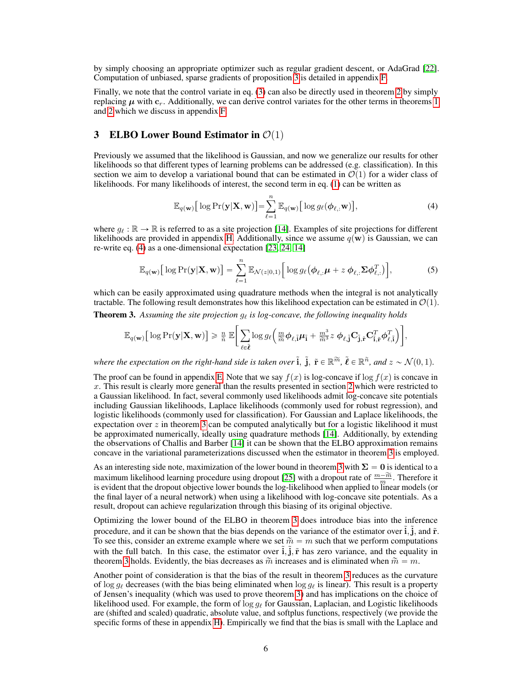by simply choosing an appropriate optimizer such as regular gradient descent, or AdaGrad [\[22\]](#page-9-4). Computation of unbiased, sparse gradients of proposition [3](#page-4-3) is detailed in appendix [F.](#page-13-0)

Finally, we note that the control variate in eq. [\(3\)](#page-4-2) can also be directly used in theorem [2](#page-3-1) by simply replacing  $\mu$  with  $c_r$ . Additionally, we can derive control variates for the other terms in theorems [1](#page-2-2) and [2](#page-3-1) which we discuss in appendix [F.](#page-13-0)

### <span id="page-5-0"></span>3 ELBO Lower Bound Estimator in  $\mathcal{O}(1)$

Previously we assumed that the likelihood is Gaussian, and now we generalize our results for other likelihoods so that different types of learning problems can be addressed (e.g. classification). In this section we aim to develop a variational bound that can be estimated in  $\mathcal{O}(1)$  for a wider class of likelihoods. For many likelihoods of interest, the second term in eq. [\(1\)](#page-2-0) can be written as

<span id="page-5-3"></span><span id="page-5-1"></span>
$$
\mathbb{E}_{q(\mathbf{w})} \big[ \log \Pr(\mathbf{y} | \mathbf{X}, \mathbf{w}) \big] = \sum_{\ell=1}^{n} \mathbb{E}_{q(\mathbf{w})} \big[ \log g_{\ell}(\boldsymbol{\phi}_{\ell, :} \mathbf{w}) \big], \tag{4}
$$

where  $g_\ell : \mathbb{R} \to \mathbb{R}$  is referred to as a site projection [\[14\]](#page-8-13). Examples of site projections for different likelihoods are provided in appendix [H.](#page-16-0) Additionally, since we assume  $q(\mathbf{w})$  is Gaussian, we can re-write eq. [\(4\)](#page-5-1) as a one-dimensional expectation [\[23,](#page-9-5) [24,](#page-9-6) [14\]](#page-8-13)

$$
\mathbb{E}_{q(\mathbf{w})}\big[\log \Pr(\mathbf{y}|\mathbf{X},\mathbf{w})\big] = \sum_{\ell=1}^{n} \mathbb{E}_{\mathcal{N}(z|0,1)}\big[\log g_{\ell}(\boldsymbol{\phi}_{\ell,:}\boldsymbol{\mu} + z \boldsymbol{\phi}_{\ell,:}\boldsymbol{\Sigma}\boldsymbol{\phi}_{\ell,:}^{T})\big],\tag{5}
$$

which can be easily approximated using quadrature methods when the integral is not analytically tractable. The following result demonstrates how this likelihood expectation can be estimated in  $\mathcal{O}(1)$ .

<span id="page-5-2"></span>**Theorem 3.** Assuming the site projection  $g_\ell$  is log-concave, the following inequality holds<br> $\begin{bmatrix} \n\end{bmatrix}$ 

$$
\mathbb{E}_{q(\mathbf{w})}\big[\log\Pr(\mathbf{y}|\mathbf{X},\mathbf{w})\big]\geqslant \tfrac{n}{\widetilde{n}}\,\mathbb{E}\bigg[\sum_{\ell\in\tilde{\boldsymbol{\ell}}}\log g_{\ell}\bigg(\tfrac{m}{\widetilde{m}}\boldsymbol{\phi}_{\ell,\tilde{\mathbf{i}}}\boldsymbol{\mu}_{\tilde{\mathbf{i}}}+\tfrac{m^3}{\widetilde{m}^3}z\;\boldsymbol{\phi}_{\ell,\tilde{\mathbf{j}}}\mathbf{C}_{\tilde{\mathbf{j}},\tilde{\mathbf{r}}}^T\mathbf{C}_{\tilde{\mathbf{i}},\tilde{\mathbf{r}}}^T\boldsymbol{\phi}_{\ell,\tilde{\mathbf{i}}}^T\bigg)\bigg],
$$

where the expectation on the right-hand side is taken over  $\tilde{\bf i}$ ,  $\tilde{\bf j}$ ,  $\tilde{\bf r}\in\mathbb R^{\widetilde{m}}$ ,  $\tilde{\ell}\in\mathbb R^{\widetilde{n}}$ , and  $z\sim\mathcal{N}(0,1)$ .

The proof can be found in appendix [E.](#page-13-1) Note that we say  $f(x)$  is log-concave if log  $f(x)$  is concave in  $x$ . This result is clearly more general than the results presented in section [2](#page-1-1) which were restricted to a Gaussian likelihood. In fact, several commonly used likelihoods admit log-concave site potentials including Gaussian likelihoods, Laplace likelihoods (commonly used for robust regression), and logistic likelihoods (commonly used for classification). For Gaussian and Laplace likelihoods, the expectation over  $z$  in theorem [3](#page-5-2) can be computed analytically but for a logistic likelihood it must be approximated numerically, ideally using quadrature methods [\[14\]](#page-8-13). Additionally, by extending the observations of Challis and Barber [\[14\]](#page-8-13) it can be shown that the ELBO approximation remains concave in the variational parameterizations discussed when the estimator in theorem [3](#page-5-2) is employed.

As an interesting side note, maximization of the lower bound in theorem [3](#page-5-2) with  $\Sigma = 0$  is identical to a maximum likelihood learning procedure using dropout [\[25\]](#page-9-7) with a dropout rate of  $\frac{m-\widetilde{m}}{m}$ . Therefore it is evident that the dropout objective lower bounds the log-likelihood when applied to linear models (or the final layer of a neural network) when using a likelihood with log-concave site potentials. As a result, dropout can achieve regularization through this biasing of its original objective.

Optimizing the lower bound of the ELBO in theorem [3](#page-5-2) does introduce bias into the inference procedure, and it can be shown that the bias depends on the variance of the estimator over  $\tilde{\mathbf{i}}$ ,  $\tilde{\mathbf{j}}$ , and  $\tilde{\mathbf{r}}$ . To see this, consider an extreme example where we set  $\tilde{m} = m$  such that we perform computations with the full batch. In this case, the estimator over  $\tilde{\mathbf{i}}, \tilde{\mathbf{j}}, \tilde{\mathbf{r}}$  has zero variance, and the equality in theorem [3](#page-5-2) holds. Evidently, the bias decreases as  $\tilde{m}$  increases and is eliminated when  $\tilde{m} = m$ .

Another point of consideration is that the bias of the result in theorem [3](#page-5-2) reduces as the curvature of log  $g_\ell$  decreases (with the bias being eliminated when log  $g_\ell$  is linear). This result is a property of Jensen's inequality (which was used to prove theorem [3\)](#page-5-2) and has implications on the choice of likelihood used. For example, the form of  $\log g_\ell$  for Gaussian, Laplacian, and Logistic likelihoods are (shifted and scaled) quadratic, absolute value, and softplus functions, respectively (we provide the specific forms of these in appendix [H\)](#page-16-0). Empirically we find that the bias is small with the Laplace and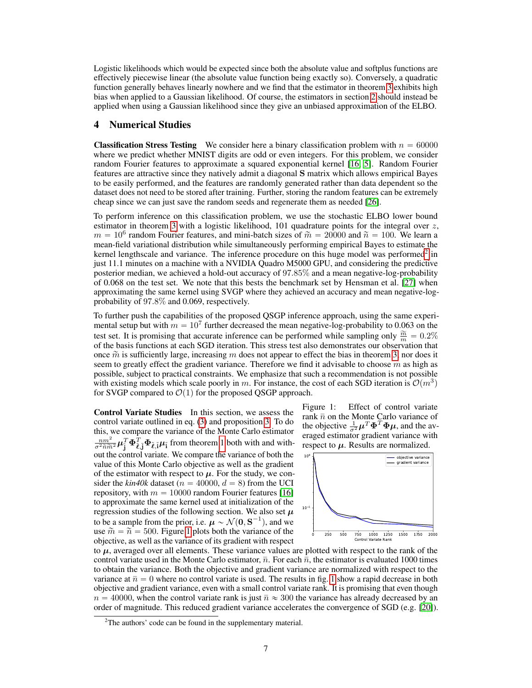Logistic likelihoods which would be expected since both the absolute value and softplus functions are effectively piecewise linear (the absolute value function being exactly so). Conversely, a quadratic function generally behaves linearly nowhere and we find that the estimator in theorem [3](#page-5-2) exhibits high bias when applied to a Gaussian likelihood. Of course, the estimators in section [2](#page-1-1) should instead be applied when using a Gaussian likelihood since they give an unbiased approximation of the ELBO.

# <span id="page-6-0"></span>4 Numerical Studies

**Classification Stress Testing** We consider here a binary classification problem with  $n = 60000$ where we predict whether MNIST digits are odd or even integers. For this problem, we consider random Fourier features to approximate a squared exponential kernel [\[16,](#page-8-15) [5\]](#page-8-4). Random Fourier features are attractive since they natively admit a diagonal S matrix which allows empirical Bayes to be easily performed, and the features are randomly generated rather than data dependent so the dataset does not need to be stored after training. Further, storing the random features can be extremely cheap since we can just save the random seeds and regenerate them as needed [\[26\]](#page-9-8).

To perform inference on this classification problem, we use the stochastic ELBO lower bound estimator in theorem [3](#page-5-2) with a logistic likelihood, 101 quadrature points for the integral over  $z$ ,  $m = 10^6$  random Fourier features, and mini-batch sizes of  $\tilde{m} = 20000$  and  $\tilde{n} = 100$ . We learn a mean-field variational distribution while simultaneously performing empirical Bayes to estimate the kernel lengthscale and variance. The inference procedure on this huge model was performed<sup>[2](#page-6-1)</sup> in just 11.1 minutes on a machine with a NVIDIA Quadro M5000 GPU, and considering the predictive posterior median, we achieved a hold-out accuracy of 97.85% and a mean negative-log-probability of 0.068 on the test set. We note that this bests the benchmark set by Hensman et al. [\[27\]](#page-9-9) when approximating the same kernel using SVGP where they achieved an accuracy and mean negative-logprobability of 97.8% and 0.069, respectively.

To further push the capabilities of the proposed QSGP inference approach, using the same experimental setup but with  $m = 10^7$  further decreased the mean negative-log-probability to 0.063 on the test set. It is promising that accurate inference can be performed while sampling only  $\frac{\widetilde{m}}{m} = 0.2\%$ of the basis functions at each SGD iteration. This stress test also demonstrates our observation that once  $\tilde{m}$  is sufficiently large, increasing m does not appear to effect the bias in theorem [3,](#page-5-2) nor does it seem to greatly effect the gradient variance. Therefore we find it advisable to choose  $m$  as high as possible, subject to practical constraints. We emphasize that such a recommendation is not possible with existing models which scale poorly in m. For instance, the cost of each SGD iteration is  $\mathcal{O}(m^3)$ for SVGP compared to  $\mathcal{O}(1)$  for the proposed QSGP approach.

Control Variate Studies In this section, we assess the control variate outlined in eq. [\(3\)](#page-4-2) and proposition [3.](#page-4-3) To do this, we compare the variance of the Monte Carlo estimator  $\frac{nm^2}{\sigma^2 \tilde{n} \tilde{m}^2} \boldsymbol{\mu}_{\tilde{j}}^T \boldsymbol{\Phi}_{\tilde{\ell},\tilde{j}}^T \boldsymbol{\Psi}_{\tilde{\ell},\tilde{j}} \boldsymbol{\mu}_{\tilde{i}}$  from theorem [1](#page-2-2) both with and without the control variate. We compare the variance of both the value of this Monte Carlo objective as well as the gradient of the estimator with respect to  $\mu$ . For the study, we consider the  $\frac{kin40k}{\text{ dataset}}$  ( $n = 40000$ ,  $d = 8$ ) from the UCI repository, with  $m = 10000$  random Fourier features [\[16\]](#page-8-15) to approximate the same kernel used at initialization of the regression studies of the following section. We also set  $\mu$ to be a sample from the prior, i.e.  $\mu \sim \mathcal{N}(\mathbf{0}, \mathbf{S}^{-1})$ , and we use  $\tilde{m} = \tilde{n} = 500$ . Figure [1](#page-6-2) plots both the variance of the objective, as well as the variance of its gradient with respect

<span id="page-6-2"></span>Figure 1: Effect of control variate rank  $\bar{n}$  on the Monte Carlo variance of the objective  $\frac{1}{\sigma^2} \boldsymbol{\mu}^T \boldsymbol{\Phi}^T \boldsymbol{\Phi} \boldsymbol{\mu}$ , and the averaged estimator gradient variance with respect to  $\mu$ . Results are normalized.



to  $\mu$ , averaged over all elements. These variance values are plotted with respect to the rank of the control variate used in the Monte Carlo estimator,  $\bar{n}$ . For each  $\bar{n}$ , the estimator is evaluated 1000 times to obtain the variance. Both the objective and gradient variance are normalized with respect to the variance at  $\bar{n} = 0$  where no control variate is used. The results in fig. [1](#page-6-2) show a rapid decrease in both objective and gradient variance, even with a small control variate rank. It is promising that even though  $n = 40000$ , when the control variate rank is just  $\bar{n} \approx 300$  the variance has already decreased by an order of magnitude. This reduced gradient variance accelerates the convergence of SGD (e.g. [\[20\]](#page-9-2)).

<span id="page-6-1"></span> $2$ The authors' code can be found in the supplementary material.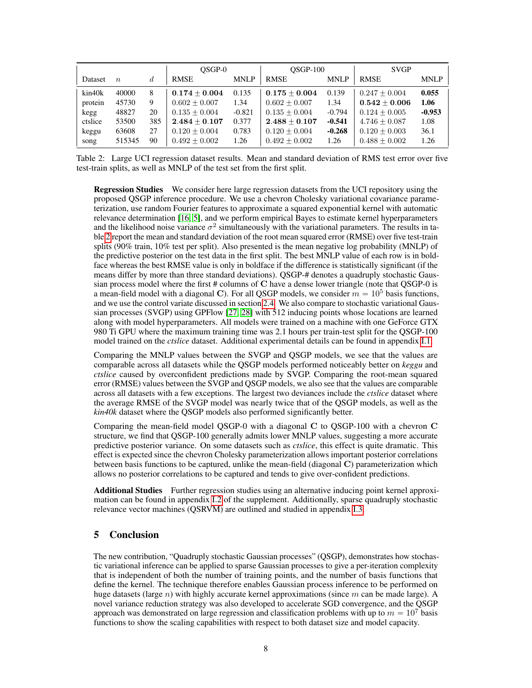|         |                  |     | OSGP-0          |             | $OSGP-100$      |             | <b>SVGP</b>       |             |
|---------|------------------|-----|-----------------|-------------|-----------------|-------------|-------------------|-------------|
| Dataset | $\boldsymbol{n}$ | d   | <b>RMSE</b>     | <b>MNLP</b> | <b>RMSE</b>     | <b>MNLP</b> | <b>RMSE</b>       | <b>MNLP</b> |
| kin40k  | 40000            | 8   | $0.174 + 0.004$ | 0.135       | $0.175 + 0.004$ | 0.139       | $0.247 + 0.004$   | 0.055       |
| protein | 45730            | 9   | $0.602 + 0.007$ | 1.34        | $0.602 + 0.007$ | 1.34        | $0.542 + 0.006$   | 1.06        |
| kegg    | 48827            | 20  | $0.135 + 0.004$ | $-0.821$    | $0.135 + 0.004$ | $-0.794$    | $0.124 + 0.005$   | $-0.953$    |
| ctslice | 53500            | 385 | $2.484 + 0.107$ | 0.377       | $2.488 + 0.107$ | $-0.541$    | $4.746 \pm 0.087$ | 1.08        |
| keggu   | 63608            | 27  | $0.120 + 0.004$ | 0.783       | $0.120 + 0.004$ | $-0.268$    | $0.120 + 0.003$   | 36.1        |
| song    | 515345           | 90  | $0.492 + 0.002$ | 1.26        | $0.492 + 0.002$ | 1.26        | $0.488 + 0.002$   | 1.26        |

<span id="page-7-0"></span>Table 2: Large UCI regression dataset results. Mean and standard deviation of RMS test error over five test-train splits, as well as MNLP of the test set from the first split.

Regression Studies We consider here large regression datasets from the UCI repository using the proposed QSGP inference procedure. We use a chevron Cholesky variational covariance parameterization, use random Fourier features to approximate a squared exponential kernel with automatic relevance determination [\[16,](#page-8-15) [5\]](#page-8-4), and we perform empirical Bayes to estimate kernel hyperparameters and the likelihood noise variance  $\sigma^2$  simultaneously with the variational parameters. The results in table [2](#page-7-0) report the mean and standard deviation of the root mean squared error (RMSE) over five test-train splits (90% train, 10% test per split). Also presented is the mean negative log probability (MNLP) of the predictive posterior on the test data in the first split. The best MNLP value of each row is in boldface whereas the best RMSE value is only in boldface if the difference is statistically significant (if the means differ by more than three standard deviations). QSGP-# denotes a quadruply stochastic Gaussian process model where the first  $\#$  columns of C have a dense lower triangle (note that OSGP-0 is a mean-field model with a diagonal C). For all QSGP models, we consider  $m = 10^5$  basis functions, and we use the control variate discussed in section [2.4.](#page-4-4) We also compare to stochastic variational Gaussian processes (SVGP) using GPFlow [\[27,](#page-9-9) [28\]](#page-9-10) with 512 inducing points whose locations are learned along with model hyperparameters. All models were trained on a machine with one GeForce GTX 980 Ti GPU where the maximum training time was 2.1 hours per train-test split for the QSGP-100 model trained on the *ctslice* dataset. Additional experimental details can be found in appendix [I.1.](#page-17-0)

Comparing the MNLP values between the SVGP and QSGP models, we see that the values are comparable across all datasets while the QSGP models performed noticeably better on *keggu* and *ctslice* caused by overconfident predictions made by SVGP. Comparing the root-mean squared error (RMSE) values between the SVGP and QSGP models, we also see that the values are comparable across all datasets with a few exceptions. The largest two deviances include the *ctslice* dataset where the average RMSE of the SVGP model was nearly twice that of the QSGP models, as well as the *kin40k* dataset where the QSGP models also performed significantly better.

Comparing the mean-field model QSGP-0 with a diagonal C to QSGP-100 with a chevron C structure, we find that QSGP-100 generally admits lower MNLP values, suggesting a more accurate predictive posterior variance. On some datasets such as *ctslice*, this effect is quite dramatic. This effect is expected since the chevron Cholesky parameterization allows important posterior correlations between basis functions to be captured, unlike the mean-field (diagonal C) parameterization which allows no posterior correlations to be captured and tends to give over-confident predictions.

Additional Studies Further regression studies using an alternative inducing point kernel approximation can be found in appendix [I.2](#page-17-1) of the supplement. Additionally, sparse quadruply stochastic relevance vector machines (QSRVM) are outlined and studied in appendix [I.3.](#page-18-0)

# 5 Conclusion

The new contribution, "Quadruply stochastic Gaussian processes" (QSGP), demonstrates how stochastic variational inference can be applied to sparse Gaussian processes to give a per-iteration complexity that is independent of both the number of training points, and the number of basis functions that define the kernel. The technique therefore enables Gaussian process inference to be performed on huge datasets (large n) with highly accurate kernel approximations (since m can be made large). A novel variance reduction strategy was also developed to accelerate SGD convergence, and the QSGP approach was demonstrated on large regression and classification problems with up to  $m = 10<sup>7</sup>$  basis functions to show the scaling capabilities with respect to both dataset size and model capacity.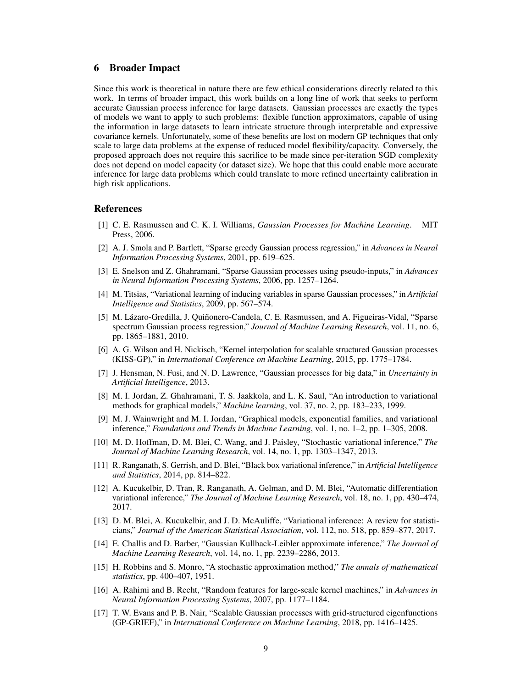### 6 Broader Impact

Since this work is theoretical in nature there are few ethical considerations directly related to this work. In terms of broader impact, this work builds on a long line of work that seeks to perform accurate Gaussian process inference for large datasets. Gaussian processes are exactly the types of models we want to apply to such problems: flexible function approximators, capable of using the information in large datasets to learn intricate structure through interpretable and expressive covariance kernels. Unfortunately, some of these benefits are lost on modern GP techniques that only scale to large data problems at the expense of reduced model flexibility/capacity. Conversely, the proposed approach does not require this sacrifice to be made since per-iteration SGD complexity does not depend on model capacity (or dataset size). We hope that this could enable more accurate inference for large data problems which could translate to more refined uncertainty calibration in high risk applications.

#### References

- <span id="page-8-0"></span>[1] C. E. Rasmussen and C. K. I. Williams, *Gaussian Processes for Machine Learning*. MIT Press, 2006.
- <span id="page-8-1"></span>[2] A. J. Smola and P. Bartlett, "Sparse greedy Gaussian process regression," in *Advances in Neural Information Processing Systems*, 2001, pp. 619–625.
- <span id="page-8-2"></span>[3] E. Snelson and Z. Ghahramani, "Sparse Gaussian processes using pseudo-inputs," in *Advances in Neural Information Processing Systems*, 2006, pp. 1257–1264.
- <span id="page-8-3"></span>[4] M. Titsias, "Variational learning of inducing variables in sparse Gaussian processes," in *Artificial Intelligence and Statistics*, 2009, pp. 567–574.
- <span id="page-8-4"></span>[5] M. Lázaro-Gredilla, J. Quiñonero-Candela, C. E. Rasmussen, and A. Figueiras-Vidal, "Sparse spectrum Gaussian process regression," *Journal of Machine Learning Research*, vol. 11, no. 6, pp. 1865–1881, 2010.
- <span id="page-8-5"></span>[6] A. G. Wilson and H. Nickisch, "Kernel interpolation for scalable structured Gaussian processes (KISS-GP)," in *International Conference on Machine Learning*, 2015, pp. 1775–1784.
- <span id="page-8-6"></span>[7] J. Hensman, N. Fusi, and N. D. Lawrence, "Gaussian processes for big data," in *Uncertainty in Artificial Intelligence*, 2013.
- <span id="page-8-7"></span>[8] M. I. Jordan, Z. Ghahramani, T. S. Jaakkola, and L. K. Saul, "An introduction to variational methods for graphical models," *Machine learning*, vol. 37, no. 2, pp. 183–233, 1999.
- <span id="page-8-8"></span>[9] M. J. Wainwright and M. I. Jordan, "Graphical models, exponential families, and variational inference," *Foundations and Trends in Machine Learning*, vol. 1, no. 1–2, pp. 1–305, 2008.
- <span id="page-8-9"></span>[10] M. D. Hoffman, D. M. Blei, C. Wang, and J. Paisley, "Stochastic variational inference," *The Journal of Machine Learning Research*, vol. 14, no. 1, pp. 1303–1347, 2013.
- <span id="page-8-10"></span>[11] R. Ranganath, S. Gerrish, and D. Blei, "Black box variational inference," in *Artificial Intelligence and Statistics*, 2014, pp. 814–822.
- <span id="page-8-11"></span>[12] A. Kucukelbir, D. Tran, R. Ranganath, A. Gelman, and D. M. Blei, "Automatic differentiation variational inference," *The Journal of Machine Learning Research*, vol. 18, no. 1, pp. 430–474, 2017.
- <span id="page-8-12"></span>[13] D. M. Blei, A. Kucukelbir, and J. D. McAuliffe, "Variational inference: A review for statisticians," *Journal of the American Statistical Association*, vol. 112, no. 518, pp. 859–877, 2017.
- <span id="page-8-13"></span>[14] E. Challis and D. Barber, "Gaussian Kullback-Leibler approximate inference," *The Journal of Machine Learning Research*, vol. 14, no. 1, pp. 2239–2286, 2013.
- <span id="page-8-14"></span>[15] H. Robbins and S. Monro, "A stochastic approximation method," *The annals of mathematical statistics*, pp. 400–407, 1951.
- <span id="page-8-15"></span>[16] A. Rahimi and B. Recht, "Random features for large-scale kernel machines," in *Advances in Neural Information Processing Systems*, 2007, pp. 1177–1184.
- <span id="page-8-16"></span>[17] T. W. Evans and P. B. Nair, "Scalable Gaussian processes with grid-structured eigenfunctions (GP-GRIEF)," in *International Conference on Machine Learning*, 2018, pp. 1416–1425.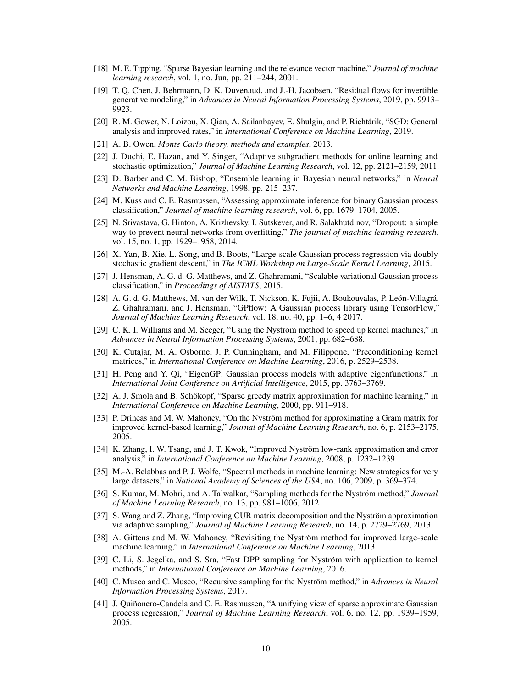- <span id="page-9-0"></span>[18] M. E. Tipping, "Sparse Bayesian learning and the relevance vector machine," *Journal of machine learning research*, vol. 1, no. Jun, pp. 211–244, 2001.
- <span id="page-9-1"></span>[19] T. Q. Chen, J. Behrmann, D. K. Duvenaud, and J.-H. Jacobsen, "Residual flows for invertible generative modeling," in *Advances in Neural Information Processing Systems*, 2019, pp. 9913– 9923.
- <span id="page-9-2"></span>[20] R. M. Gower, N. Loizou, X. Oian, A. Sailanbayev, E. Shulgin, and P. Richtárik, "SGD: General analysis and improved rates," in *International Conference on Machine Learning*, 2019.
- <span id="page-9-3"></span>[21] A. B. Owen, *Monte Carlo theory, methods and examples*, 2013.
- <span id="page-9-4"></span>[22] J. Duchi, E. Hazan, and Y. Singer, "Adaptive subgradient methods for online learning and stochastic optimization," *Journal of Machine Learning Research*, vol. 12, pp. 2121–2159, 2011.
- <span id="page-9-5"></span>[23] D. Barber and C. M. Bishop, "Ensemble learning in Bayesian neural networks," in *Neural Networks and Machine Learning*, 1998, pp. 215–237.
- <span id="page-9-6"></span>[24] M. Kuss and C. E. Rasmussen, "Assessing approximate inference for binary Gaussian process classification," *Journal of machine learning research*, vol. 6, pp. 1679–1704, 2005.
- <span id="page-9-7"></span>[25] N. Srivastava, G. Hinton, A. Krizhevsky, I. Sutskever, and R. Salakhutdinov, "Dropout: a simple way to prevent neural networks from overfitting," *The journal of machine learning research*, vol. 15, no. 1, pp. 1929–1958, 2014.
- <span id="page-9-8"></span>[26] X. Yan, B. Xie, L. Song, and B. Boots, "Large-scale Gaussian process regression via doubly stochastic gradient descent," in *The ICML Workshop on Large-Scale Kernel Learning*, 2015.
- <span id="page-9-9"></span>[27] J. Hensman, A. G. d. G. Matthews, and Z. Ghahramani, "Scalable variational Gaussian process classification," in *Proceedings of AISTATS*, 2015.
- <span id="page-9-10"></span>[28] A. G. d. G. Matthews, M. van der Wilk, T. Nickson, K. Fujii, A. Boukouvalas, P. León-Villagrá, Z. Ghahramani, and J. Hensman, "GPflow: A Gaussian process library using TensorFlow," *Journal of Machine Learning Research*, vol. 18, no. 40, pp. 1–6, 4 2017.
- <span id="page-9-11"></span>[29] C. K. I. Williams and M. Seeger, "Using the Nyström method to speed up kernel machines," in *Advances in Neural Information Processing Systems*, 2001, pp. 682–688.
- <span id="page-9-12"></span>[30] K. Cutajar, M. A. Osborne, J. P. Cunningham, and M. Filippone, "Preconditioning kernel matrices," in *International Conference on Machine Learning*, 2016, p. 2529–2538.
- <span id="page-9-13"></span>[31] H. Peng and Y. Qi, "EigenGP: Gaussian process models with adaptive eigenfunctions." in *International Joint Conference on Artificial Intelligence*, 2015, pp. 3763–3769.
- <span id="page-9-14"></span>[32] A. J. Smola and B. Schökopf, "Sparse greedy matrix approximation for machine learning," in *International Conference on Machine Learning*, 2000, pp. 911–918.
- <span id="page-9-15"></span>[33] P. Drineas and M. W. Mahoney, "On the Nyström method for approximating a Gram matrix for improved kernel-based learning," *Journal of Machine Learning Research*, no. 6, p. 2153–2175, 2005.
- <span id="page-9-16"></span>[34] K. Zhang, I. W. Tsang, and J. T. Kwok, "Improved Nyström low-rank approximation and error analysis," in *International Conference on Machine Learning*, 2008, p. 1232–1239.
- <span id="page-9-17"></span>[35] M.-A. Belabbas and P. J. Wolfe, "Spectral methods in machine learning: New strategies for very large datasets," in *National Academy of Sciences of the USA*, no. 106, 2009, p. 369–374.
- <span id="page-9-18"></span>[36] S. Kumar, M. Mohri, and A. Talwalkar, "Sampling methods for the Nyström method," *Journal of Machine Learning Research*, no. 13, pp. 981–1006, 2012.
- <span id="page-9-19"></span>[37] S. Wang and Z. Zhang, "Improving CUR matrix decomposition and the Nyström approximation via adaptive sampling," *Journal of Machine Learning Research*, no. 14, p. 2729–2769, 2013.
- <span id="page-9-20"></span>[38] A. Gittens and M. W. Mahoney, "Revisiting the Nyström method for improved large-scale machine learning," in *International Conference on Machine Learning*, 2013.
- <span id="page-9-21"></span>[39] C. Li, S. Jegelka, and S. Sra, "Fast DPP sampling for Nyström with application to kernel methods," in *International Conference on Machine Learning*, 2016.
- <span id="page-9-22"></span>[40] C. Musco and C. Musco, "Recursive sampling for the Nyström method," in *Advances in Neural Information Processing Systems*, 2017.
- <span id="page-9-23"></span>[41] J. Quiñonero-Candela and C. E. Rasmussen, "A unifying view of sparse approximate Gaussian process regression," *Journal of Machine Learning Research*, vol. 6, no. 12, pp. 1939–1959, 2005.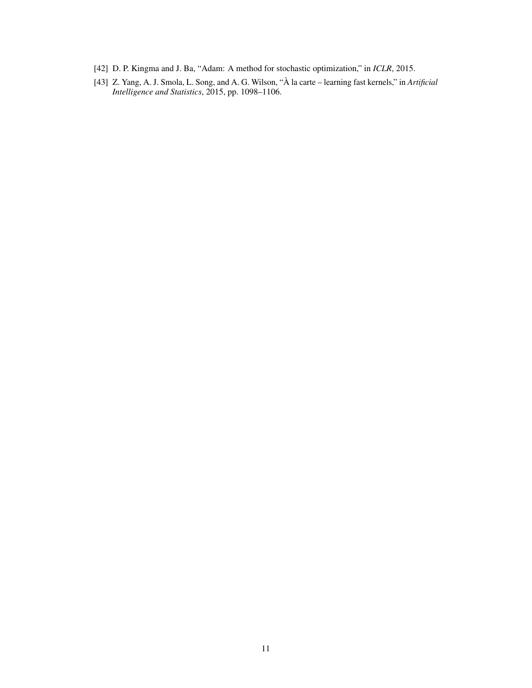- <span id="page-10-0"></span>[42] D. P. Kingma and J. Ba, "Adam: A method for stochastic optimization," in *ICLR*, 2015.
- <span id="page-10-1"></span>[43] Z. Yang, A. J. Smola, L. Song, and A. G. Wilson, "À la carte – learning fast kernels," in Artificial *Intelligence and Statistics*, 2015, pp. 1098–1106.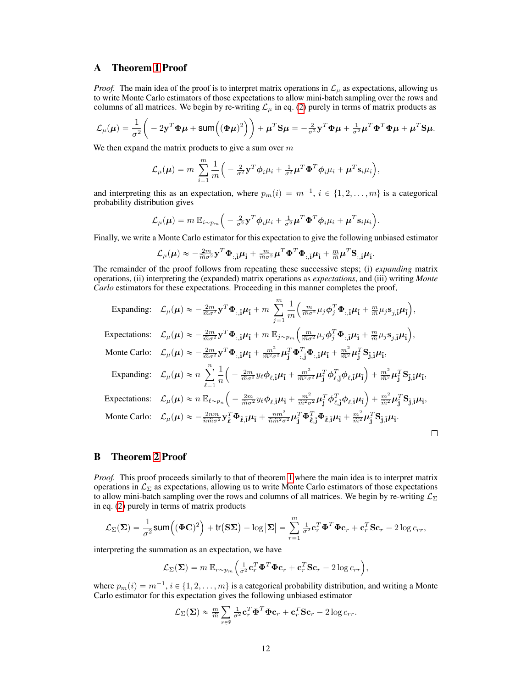# <span id="page-11-0"></span>A Theorem [1](#page-2-2) Proof

*Proof.* The main idea of the proof is to interpret matrix operations in  $\mathcal{L}_{\mu}$  as expectations, allowing us to write Monte Carlo estimators of those expectations to allow mini-batch sampling over the rows and columns of all matrices. We begin by re-writing  $\mathcal{L}_{\mu}$  in eq. [\(2\)](#page-2-1) purely in terms of matrix products as

$$
\mathcal{L}_{\mu}(\mu) = \frac{1}{\sigma^2} \bigg( -2\mathbf{y}^T \boldsymbol{\Phi} \mu + \text{sum} \big( (\boldsymbol{\Phi} \mu)^2 \big) \bigg) + \mu^T \mathbf{S} \mu = -\frac{2}{\sigma^2} \mathbf{y}^T \boldsymbol{\Phi} \mu + \frac{1}{\sigma^2} \mu^T \boldsymbol{\Phi}^T \boldsymbol{\Phi} \mu + \mu^T \mathbf{S} \mu.
$$

We then expand the matrix products to give a sum over  $m$ 

$$
\mathcal{L}_{\mu}(\boldsymbol{\mu}) = m \sum_{i=1}^{m} \frac{1}{m} \left( -\frac{2}{\sigma^2} \mathbf{y}^T \boldsymbol{\phi}_i \mu_i + \frac{1}{\sigma^2} \boldsymbol{\mu}^T \boldsymbol{\Phi}^T \boldsymbol{\phi}_i \mu_i + \boldsymbol{\mu}^T \mathbf{s}_i \mu_i \right),
$$

and interpreting this as an expectation, where  $p_m(i) = m^{-1}, i \in \{1, 2, ..., m\}$  is a categorical probability distribution gives

$$
\mathcal{L}_{\mu}(\mu) = m \mathbb{E}_{i \sim p_m} \left( -\frac{2}{\sigma^2} \mathbf{y}^T \boldsymbol{\phi}_i \mu_i + \frac{1}{\sigma^2} \mu^T \boldsymbol{\Phi}^T \boldsymbol{\phi}_i \mu_i + \mu^T \mathbf{s}_i \mu_i \right).
$$

Finally, we write a Monte Carlo estimator for this expectation to give the following unbiased estimator

$$
\mathcal{L}_{\mu}(\mu) \approx -\tfrac{2m}{\widetilde{m}\sigma^2} \mathbf{y}^T \mathbf{\Phi}_{:, \tilde{\mathbf{i}}} \mu_{\tilde{\mathbf{i}}} + \tfrac{m}{\widetilde{m}\sigma^2} \mu^T \mathbf{\Phi}^T \mathbf{\Phi}_{:, \tilde{\mathbf{i}}} \mu_{\tilde{\mathbf{i}}} + \tfrac{m}{\widetilde{m}} \mu^T \mathbf{S}_{:, \tilde{\mathbf{i}}} \mu_{\tilde{\mathbf{i}}}.
$$

The remainder of the proof follows from repeating these successive steps; (i) *expanding* matrix operations, (ii) interpreting the (expanded) matrix operations as *expectations*, and (iii) writing *Monte Carlo* estimators for these expectations. Proceeding in this manner completes the proof,

Expanding: 
$$
\mathcal{L}_{\mu}(\mu) \approx -\frac{2m}{\tilde{m}\sigma^2} \mathbf{y}^T \mathbf{\Phi}_{:,1} \mu_1 + m \sum_{j=1}^m \frac{1}{m} \left( \frac{m}{\tilde{m}\sigma^2} \mu_j \phi_j^T \mathbf{\Phi}_{:,1} \mu_1 + \frac{m}{\tilde{m}} \mu_j \mathbf{s}_{j,1} \mu_1 \right),
$$
  
\nExpectations:  $\mathcal{L}_{\mu}(\mu) \approx -\frac{2m}{\tilde{m}\sigma^2} \mathbf{y}^T \mathbf{\Phi}_{:,1} \mu_1 + m \mathbb{E}_{j \sim p_m} \left( \frac{m}{\tilde{m}\sigma^2} \mu_j \phi_j^T \mathbf{\Phi}_{:,1} \mu_1 + \frac{m}{\tilde{m}} \mu_j \mathbf{s}_{j,1} \mu_1 \right),$   
\nMonte Carlo:  $\mathcal{L}_{\mu}(\mu) \approx -\frac{2m}{\tilde{m}\sigma^2} \mathbf{y}^T \mathbf{\Phi}_{:,1} \mu_1 + \frac{m^2}{\tilde{m}^2 \sigma^2} \mu_1^T \mathbf{\Phi}_{:,1}^T \mathbf{\Phi}_{:,1} \mu_1 + \frac{m^2}{\tilde{m}^2} \mu_1^T \mathbf{S}_{1,1} \mu_1,$   
\nExpanding:  $\mathcal{L}_{\mu}(\mu) \approx n \sum_{\ell=1}^n \frac{1}{n} \left( -\frac{2m}{\tilde{m}\sigma^2} y_\ell \phi_{\ell,1} \mu_1 + \frac{m^2}{\tilde{m}^2 \sigma^2} \mu_1^T \phi_{\ell,1}^T \phi_{\ell,1} \mu_1 \right) + \frac{m^2}{\tilde{m}^2} \mu_1^T \mathbf{S}_{1,1} \mu_1,$   
\nExpectations:  $\mathcal{L}_{\mu}(\mu) \approx n \mathbb{E}_{\ell \sim p_n} \left( -\frac{2m}{\tilde{m}\sigma^2} y_\ell \phi_{\ell,1} \mu_1 + \frac{m^2}{\tilde{m}^2 \sigma^2} \mu_1^T \phi_{\ell,1}^T \phi_{\ell,1} \mu_1 \right) + \frac{m^2}{\tilde{m}^2} \mu_1^T \mathbf{S$ 

# <span id="page-11-1"></span>B Theorem [2](#page-3-1) Proof

*Proof.* This proof proceeds similarly to that of theorem [1](#page-2-2) where the main idea is to interpret matrix operations in  $\mathcal{L}_{\Sigma}$  as expectations, allowing us to write Monte Carlo estimators of those expectations to allow mini-batch sampling over the rows and columns of all matrices. We begin by re-writing  $\mathcal{L}_{\Sigma}$ in eq. [\(2\)](#page-2-1) purely in terms of matrix products

$$
\mathcal{L}_{\Sigma}(\Sigma) = \frac{1}{\sigma^2} \operatorname{sum} \left( (\boldsymbol{\Phi} \mathbf{C})^2 \right) + \operatorname{tr} (\mathbf{S} \Sigma) - \log |\Sigma| = \sum_{r=1}^m \frac{1}{\sigma^2} \mathbf{c}_r^T \boldsymbol{\Phi}^T \boldsymbol{\Phi} \mathbf{c}_r + \mathbf{c}_r^T \mathbf{S} \mathbf{c}_r - 2 \log c_{rr},
$$

interpreting the summation as an expectation, we have

$$
\mathcal{L}_{\Sigma}(\mathbf{\Sigma}) = m \mathbb{E}_{r \sim p_m} \left( \frac{1}{\sigma^2} \mathbf{c}_r^T \mathbf{\Phi}^T \mathbf{\Phi} \mathbf{c}_r + \mathbf{c}_r^T \mathbf{S} \mathbf{c}_r - 2 \log c_{rr} \right),
$$

where  $p_m(i) = m^{-1}, i \in \{1, 2, ..., m\}$  is a categorical probability distribution, and writing a Monte Carlo estimator for this expectation gives the following unbiased estimator

$$
\mathcal{L}_{\Sigma}(\mathbf{\Sigma}) \approx \frac{m}{\widetilde{m}} \sum_{r \in \widetilde{\mathbf{r}}} \frac{1}{\sigma^2} \mathbf{c}_r^T \mathbf{\Phi}^T \mathbf{\Phi} \mathbf{c}_r + \mathbf{c}_r^T \mathbf{S} \mathbf{c}_r - 2 \log c_{rr}.
$$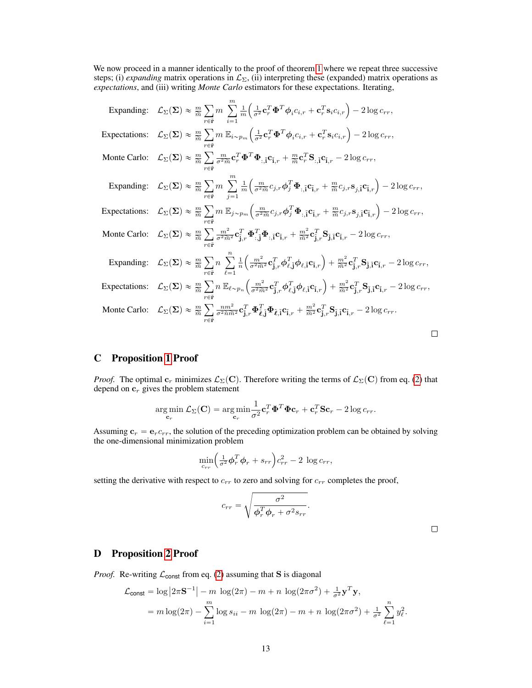We now proceed in a manner identically to the proof of theorem [1](#page-2-2) where we repeat three successive steps; (i) *expanding* matrix operations in  $\mathcal{L}_{\Sigma}$ , (ii) interpreting these (expanded) matrix operations as *expectations*, and (iii) writing *Monte Carlo* estimators for these expectations. Iterating,

| Expanding: $\mathcal{L}_{\Sigma}(\Sigma) \approx \frac{m}{\widetilde{m}} \sum m \sum \frac{1}{m} \left( \frac{1}{\sigma^2} \mathbf{c}_r^T \mathbf{\Phi}^T \phi_i c_{i,r} + \mathbf{c}_r^T \mathbf{s}_i c_{i,r} \right) - 2 \log c_{rr},$                                                                                                                                                                                                                                                                      |
|---------------------------------------------------------------------------------------------------------------------------------------------------------------------------------------------------------------------------------------------------------------------------------------------------------------------------------------------------------------------------------------------------------------------------------------------------------------------------------------------------------------|
| Expectations: $\mathcal{L}_{\Sigma}(\Sigma) \approx \frac{m}{\widetilde{m}} \sum m \, \mathbb{E}_{i \sim p_m} \left( \frac{1}{\sigma^2} \mathbf{c}_r^T \mathbf{\Phi}^T \phi_i c_{i,r} + \mathbf{c}_r^T \mathbf{s}_i c_{i,r} \right) - 2 \log c_{rr},$                                                                                                                                                                                                                                                         |
| Monte Carlo: $\mathcal{L}_{\Sigma}(\Sigma) \approx \frac{m}{\widetilde{m}} \sum \frac{m}{\sigma^2 \widetilde{m}} \mathbf{c}_r^T \mathbf{\Phi}^T \mathbf{\Phi}_{:, \mathbf{\widetilde{i}}} \mathbf{c}_{\mathbf{\widetilde{i}},r} + \frac{m}{\widetilde{m}} \mathbf{c}_r^T \mathbf{S}_{:, \mathbf{\widetilde{i}}} \mathbf{c}_{\mathbf{\widetilde{i}},r} - 2 \log c_{rr},$                                                                                                                                       |
| Expanding: $\mathcal{L}_{\Sigma}(\Sigma) \approx \frac{m}{\widetilde{m}} \sum m \sum \frac{1}{m} \left( \frac{m}{\sigma^2 \widetilde{m}} c_{j,r} \phi_j^T \Phi_{; \vec{1}} c_{\vec{1},r} + \frac{m}{\widetilde{m}} c_{j,r} s_{j,\vec{1}} c_{\vec{1},r} \right) - 2 \log c_{rr},$                                                                                                                                                                                                                              |
| Expectations: $\mathcal{L}_{\Sigma}(\Sigma) \approx \frac{m}{\widetilde{m}} \sum m \mathbb{E}_{j \sim p_m} \left( \frac{m}{\sigma^2 \widetilde{m}} c_{j,r} \phi_j^T \Phi_{; \widetilde{A}} \mathbf{c}_{\widetilde{I},r} + \frac{m}{\widetilde{m}} c_{j,r} \mathbf{s}_{j,\widetilde{I}} \mathbf{c}_{\widetilde{I},r} \right) - 2 \log c_{rr},$                                                                                                                                                                 |
| Monte Carlo: $\mathcal{L}_{\Sigma}(\Sigma) \approx \frac{m}{\widetilde{m}} \sum \frac{m^2}{\sigma^2 \widetilde{m}^2} \mathbf{c}_{\mathbf{j},r}^T \mathbf{\Phi}_{:, \mathbf{j}}^T \mathbf{\Phi}_{:, \mathbf{\widetilde{i}}} \mathbf{c}_{\mathbf{\widetilde{i}},r} + \frac{m^2}{\widetilde{m}^2} \mathbf{c}_{\mathbf{j},r}^T \mathbf{S}_{\mathbf{\widetilde{j}},\mathbf{\widetilde{i}}} \mathbf{c}_{\mathbf{\widetilde{i}},r} - 2 \log c_{rr},$                                                                 |
| $\text{Expanding:}\quad \mathcal{L}_{\Sigma}(\mathbf{\Sigma})\approx \tfrac{m}{\widetilde{m}}\sum_{\cdot}\boldsymbol{n}\;\sum_{\cdot}\tfrac{1}{n}\bigg(\tfrac{m^2}{\sigma^2\widetilde{m}^2}\mathbf{c}_{\mathbf{\widetilde{j}},r}^T\boldsymbol{\phi}_{\ell,\mathbf{\widetilde{j}}}^T\boldsymbol{\phi}_{\ell,\mathbf{\widetilde{i}}}\mathbf{c}_{\mathbf{\widetilde{i}},r}\bigg)+\tfrac{m^2}{\widetilde{m}^2}\mathbf{c}_{\mathbf{\widetilde{j}},r}^T\mathbf{S}_{\mathbf{\widetilde{j}},\mathbf{\widetilde{i}}}\$ |
| Expectations: $\mathcal{L}_{\Sigma}(\Sigma) \approx \frac{m}{\widetilde{m}} \sum_{\vec{r}} n \mathbb{E}_{\ell \sim p_n} \left( \frac{m^2}{\sigma^2 \widetilde{m}^2} \mathbf{c}_{\mathbf{j},r}^T \boldsymbol{\phi}_{\ell,\mathbf{j}}^T \boldsymbol{\phi}_{\ell,\mathbf{i}} \mathbf{c}_{\mathbf{i},r} \right) + \frac{m^2}{\widetilde{m}^2} \mathbf{c}_{\mathbf{j},r}^T \mathbf{S}_{\mathbf{j},\mathbf{i}} \mathbf{c}_{\mathbf{i},r} - 2 \log c_{rr},$                                                          |
| Monte Carlo: $\mathcal{L}_{\Sigma}(\Sigma) \approx \frac{m}{\widetilde{m}} \sum \frac{n m^2}{\sigma^2 \widetilde{n} \widetilde{m}^2} \mathbf{c}_{\mathbf{j},r}^T \mathbf{\Phi}_{\ell,\mathbf{j}}^T \mathbf{\Phi}_{\ell,\mathbf{i}} \mathbf{c}_{\mathbf{i},r} + \frac{m^2}{\widetilde{m}^2} \mathbf{c}_{\mathbf{j},r}^T \mathbf{S}_{\mathbf{j},\mathbf{i}} \mathbf{c}_{\mathbf{i},r} - 2 \log c_{rr}.$                                                                                                         |
|                                                                                                                                                                                                                                                                                                                                                                                                                                                                                                               |

# <span id="page-12-0"></span>C Proposition [1](#page-3-2) Proof

*Proof.* The optimal  $c_r$  minimizes  $\mathcal{L}_\Sigma(\mathbf{C})$ . Therefore writing the terms of  $\mathcal{L}_\Sigma(\mathbf{C})$  from eq. [\(2\)](#page-2-1) that depend on  $c_r$  gives the problem statement

$$
\argmin_{\mathbf{c}_r} \mathcal{L}_{\Sigma}(\mathbf{C}) = \argmin_{\mathbf{c}_r} \frac{1}{\sigma^2} \mathbf{c}_r^T \mathbf{\Phi}^T \mathbf{\Phi} \mathbf{c}_r + \mathbf{c}_r^T \mathbf{S} \mathbf{c}_r - 2 \log c_{rr}.
$$

Assuming  $c_r = e_r c_{rr}$ , the solution of the preceding optimization problem can be obtained by solving the one-dimensional minimization problem ´

$$
\min_{c_{rr}} \left(\frac{1}{\sigma^2} \phi_r^T \phi_r + s_{rr}\right) c_{rr}^2 - 2 \log c_{rr},
$$

setting the derivative with respect to  $c_{rr}$  to zero and solving for  $c_{rr}$  completes the proof,

$$
c_{rr} = \sqrt{\frac{\sigma^2}{\phi_r^T \phi_r + \sigma^2 s_{rr}}}.
$$

# <span id="page-12-1"></span>D Proposition [2](#page-4-1) Proof

*Proof.* Re-writing  $\mathcal{L}_{\text{const}}$  from eq. [\(2\)](#page-2-1) assuming that **S** is diagonal

$$
\mathcal{L}_{\text{const}} = \log |2\pi \mathbf{S}^{-1}| - m \log(2\pi) - m + n \log(2\pi\sigma^2) + \frac{1}{\sigma^2} \mathbf{y}^T \mathbf{y},
$$
  
=  $m \log(2\pi) - \sum_{i=1}^m \log s_{ii} - m \log(2\pi) - m + n \log(2\pi\sigma^2) + \frac{1}{\sigma^2} \sum_{\ell=1}^n y_\ell^2.$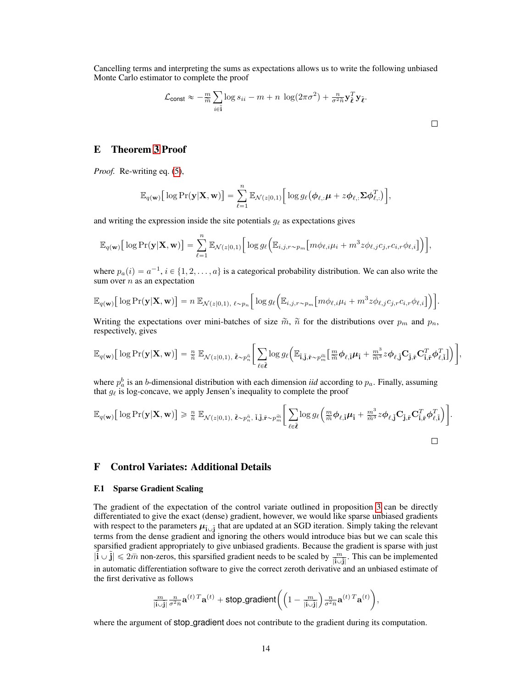Cancelling terms and interpreting the sums as expectations allows us to write the following unbiased Monte Carlo estimator to complete the proof

$$
\mathcal{L}_{\text{const}} \approx -\frac{m}{\widetilde{m}} \sum_{i \in \widetilde{\mathbf{i}}} \log s_{ii} - m + n \, \log(2\pi\sigma^2) + \frac{n}{\sigma^2 \widetilde{n}} \mathbf{y}_{\widetilde{\boldsymbol{\ell}}}^T \mathbf{y}_{\widetilde{\boldsymbol{\ell}}}.
$$

# <span id="page-13-1"></span>E Theorem [3](#page-5-2) Proof

*Proof.* Re-writing eq. [\(5\)](#page-5-3),

$$
\mathbb{E}_{q(\mathbf{w})}\big[\log \Pr(\mathbf{y}|\mathbf{X},\mathbf{w})\big] = \sum_{\ell=1}^n \mathbb{E}_{\mathcal{N}(z|0,1)}\big[\log g_\ell(\boldsymbol{\phi}_{\ell,:}\boldsymbol{\mu} + z\boldsymbol{\phi}_{\ell,:}\boldsymbol{\Sigma}\boldsymbol{\phi}_{\ell,:}^T)\big],
$$

and writing the expression inside the site potentials  $g_{\ell}$  as expectations gives

$$
\mathbb{E}_{q(\mathbf{w})}\big[\log \mathrm{Pr}(\mathbf{y}|\mathbf{X},\mathbf{w})\big] = \sum_{\ell=1}^n \mathbb{E}_{\mathcal{N}(z|0,1)}\big[\log g_\ell\big(\mathbb{E}_{i,j,r\sim p_m}\big[m\phi_{\ell,i}\mu_i+m^3z\phi_{\ell,j}c_{j,r}c_{i,r}\phi_{\ell,i}\big]\big)\big],
$$

where  $p_a(i) = a^{-1}, i \in \{1, 2, ..., a\}$  is a categorical probability distribution. We can also write the sum over  $n$  as an expectation

$$
\mathbb{E}_{q(\mathbf{w})}\big[\log \mathrm{Pr}(\mathbf{y}|\mathbf{X},\mathbf{w})\big] = n \mathbb{E}_{\mathcal{N}(z|0,1),\ \ell \sim p_n} \Big[\log g_\ell\Big(\mathbb{E}_{i,j,r \sim p_m} \big[m\phi_{\ell,i}\mu_i + m^3 z \phi_{\ell,j}c_{j,r}c_{i,r}\phi_{\ell,i}\big]\Big)\Big].
$$

Writing the expectations over mini-batches of size  $\tilde{m}$ ,  $\tilde{n}$  for the distributions over  $p_m$  and  $p_n$ , respectively, gives

$$
\mathbb{E}_{q(\mathbf{w})}\big[\log\Pr(\mathbf{y}|\mathbf{X},\mathbf{w})\big] = \tfrac{n}{\widetilde{n}}\ \mathbb{E}_{\mathcal{N}(z|0,1),\ \tilde{\boldsymbol{\ell}} \sim p_n^{\widetilde{n}}}\bigg[\sum_{\ell \in \tilde{\boldsymbol{\ell}}} \log g_\ell\bigg(\mathbb{E}_{\tilde{\mathbf{i}},\tilde{\mathbf{j}},\tilde{\mathbf{r}} \sim p_m^{\widetilde{m}}}\big[\tfrac{m}{\widetilde{m}}\boldsymbol{\phi}_{\ell,\tilde{\mathbf{i}}} \boldsymbol{\mu}_{\tilde{\mathbf{i}}} + \tfrac{m^3}{\widetilde{m}^3}z\boldsymbol{\phi}_{\ell,\tilde{\mathbf{j}}} \mathbf{C}_{\tilde{\mathbf{j}},\tilde{\mathbf{r}}} \mathbf{C}_{\tilde{\mathbf{i}},\tilde{\mathbf{r}}}^T\boldsymbol{\phi}_{\ell,\tilde{\mathbf{i}}}^T\bigg]\bigg)\bigg]
$$

J ,

where  $p_a^b$  is an *b*-dimensional distribution with each dimension *iid* according to  $p_a$ . Finally, assuming that  $g_{\ell}$  is log-concave, we apply Jensen's inequality to complete the proof

$$
\mathbb{E}_{q(\mathbf{w})}\big[\log \Pr(\mathbf{y}|\mathbf{X},\mathbf{w})\big] \geq \frac{n}{\tilde{n}} \mathbb{E}_{\mathcal{N}(z|0,1), \tilde{\ell} \sim p_n^{\tilde{n}}, \tilde{\mathbf{i}}, \tilde{\mathbf{j}}, \tilde{\mathbf{r}} \sim p_m^{\tilde{m}}}\bigg[\sum_{\ell \in \tilde{\ell}} \log g_{\ell}\bigg(\frac{m}{\tilde{m}} \boldsymbol{\phi}_{\ell, \tilde{\mathbf{i}}} \boldsymbol{\mu}_{\tilde{\mathbf{i}}} + \frac{m^3}{\tilde{m}^3} z \boldsymbol{\phi}_{\ell, \tilde{\mathbf{j}}} \mathbf{C}_{\tilde{\mathbf{j}}, \tilde{\mathbf{r}}}^T \mathbf{C}_{\tilde{\mathbf{i}}, \tilde{\mathbf{r}}}^T \boldsymbol{\phi}_{\ell, \tilde{\mathbf{i}}}^T\bigg)\bigg].
$$

### <span id="page-13-0"></span>F Control Variates: Additional Details

#### F.1 Sparse Gradient Scaling

The gradient of the expectation of the control variate outlined in proposition [3](#page-4-3) can be directly differentiated to give the exact (dense) gradient, however, we would like sparse unbiased gradients with respect to the parameters  $\mu_{\tilde{i}\cup\tilde{j}}$  that are updated at an SGD iteration. Simply taking the relevant terms from the dense gradient and ignoring the others would introduce bias but we can scale this sparsified gradient appropriately to give unbiased gradients. Because the gradient is sparse with just  $|\tilde{\mathbf{i}} \cup \tilde{\mathbf{j}}| \le 2\bar{m}$  non-zeros, this sparsified gradient needs to be scaled by  $\frac{m}{|\tilde{\mathbf{i}} \cup \tilde{\mathbf{j}}|}$ . This can be implemented in automatic differentiation software to give the correct zeroth derivative and an unbiased estimate of the first derivative as follows

$$
\tfrac{m}{\left|\hat{\mathbf{i}}\cup\hat{\mathbf{j}}\right|}\tfrac{n}{\sigma^2\bar{n}}\mathbf{a}^{(t)\,T}\mathbf{a}^{(t)} + \text{stop\_gradient}\bigg(\Big(1-\tfrac{m}{\left|\hat{\mathbf{i}}\cup\hat{\mathbf{j}}\right|}\Big)\tfrac{n}{\sigma^2\bar{n}}\mathbf{a}^{(t)\,T}\mathbf{a}^{(t)}\bigg),
$$

where the argument of stop-gradient does not contribute to the gradient during its computation.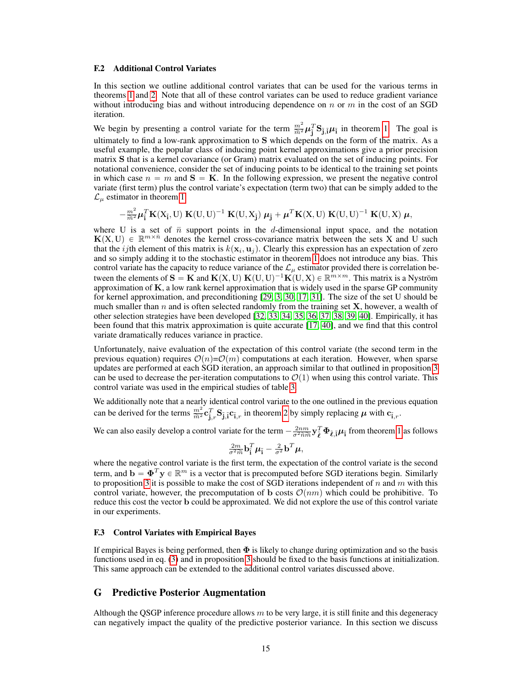#### F.2 Additional Control Variates

In this section we outline additional control variates that can be used for the various terms in theorems [1](#page-2-2) and [2.](#page-3-1) Note that all of these control variates can be used to reduce gradient variance without introducing bias and without introducing dependence on  $n$  or  $m$  in the cost of an SGD iteration.

We begin by presenting a control variate for the term  $\frac{m^2}{\tilde{m}^2} \mu_i^T \mathbf{S}_{\mathbf{j},\tilde{i}} \mu_i$  in theorem [1.](#page-2-2) The goal is ultimately to find a low-rank approximation to S which depends on the form of the matrix. As a useful example, the popular class of inducing point kernel approximations give a prior precision matrix S that is a kernel covariance (or Gram) matrix evaluated on the set of inducing points. For notational convenience, consider the set of inducing points to be identical to the training set points in which case  $n = m$  and  $S = K$ . In the following expression, we present the negative control variate (first term) plus the control variate's expectation (term two) that can be simply added to the  $\mathcal{L}_u$  estimator in theorem [1](#page-2-2)

 $-\frac{m^2}{\widetilde{m}^2}\boldsymbol{\mu}_\mathrm{i}^T\mathbf{K}(\mathrm{X}_{\mathrm{i}}, \mathrm{U}) \ \mathbf{K}(\mathrm{U}, \mathrm{U})^{-1} \ \mathbf{K}(\mathrm{U}, \mathrm{X}_{\mathrm{j}}) \ \boldsymbol{\mu}_{\mathrm{j}} + \boldsymbol{\mu}^T\mathbf{K}(\mathrm{X}, \mathrm{U}) \ \mathbf{K}(\mathrm{U}, \mathrm{U})^{-1} \ \mathbf{K}(\mathrm{U}, \mathrm{X}) \ \boldsymbol{\mu},$ 

where U is a set of  $\bar{n}$  support points in the d-dimensional input space, and the notation  $K(X, U) \in \mathbb{R}^{m \times \bar{n}}$  denotes the kernel cross-covariance matrix between the sets X and U such that the *ij*th element of this matrix is  $k(x_i, u_j)$ . Clearly this expression has an expectation of zero and so simply adding it to the stochastic estimator in theorem [1](#page-2-2) does not introduce any bias. This control variate has the capacity to reduce variance of the  $\mathcal{L}_{\mu}$  estimator provided there is correlation between the elements of  $S = K$  and  $K(X, U) K(U, U)^{-1} K(U, X) \in \mathbb{R}^{m \times m}$ . This matrix is a Nyström approximation of  $K$ , a low rank kernel approximation that is widely used in the sparse GP community for kernel approximation, and preconditioning [\[29,](#page-9-11) [3,](#page-8-2) [30,](#page-9-12) [17,](#page-8-16) [31\]](#page-9-13). The size of the set U should be much smaller than n and is often selected randomly from the training set  $X$ , however, a wealth of other selection strategies have been developed [\[32,](#page-9-14) [33,](#page-9-15) [34,](#page-9-16) [35,](#page-9-17) [36,](#page-9-18) [37,](#page-9-19) [38,](#page-9-20) [39,](#page-9-21) [40\]](#page-9-22). Empirically, it has been found that this matrix approximation is quite accurate [\[17,](#page-8-16) [40\]](#page-9-22), and we find that this control variate dramatically reduces variance in practice.

Unfortunately, naive evaluation of the expectation of this control variate (the second term in the previous equation) requires  $\mathcal{O}(n)=\mathcal{O}(m)$  computations at each iteration. However, when sparse updates are performed at each SGD iteration, an approach similar to that outlined in proposition [3](#page-4-3) can be used to decrease the per-iteration computations to  $\mathcal{O}(1)$  when using this control variate. This control variate was used in the empirical studies of table [3.](#page-18-1)

We additionally note that a nearly identical control variate to the one outlined in the previous equation can be derived for the terms  $\frac{m^2}{\tilde{m}^2} \mathbf{c}_{\tilde{j},r}^T \mathbf{S}_{\tilde{j},\tilde{i}} \mathbf{c}_{\tilde{i},r}$  in theorem [2](#page-3-1) by simply replacing  $\mu$  with  $\mathbf{c}_{\tilde{i},r}$ .

We can also easily develop a control variate for the term  $-\frac{2nm}{\sigma^2\tilde{n}\tilde{m}} \mathbf{y}_{\tilde{\ell}}^T \mathbf{\Phi}_{\tilde{\ell},\tilde{i}} \mu_{\tilde{i}}$  from theorem [1](#page-2-2) as follows

$$
\frac{2m}{\sigma^2 \widetilde{m}} \mathbf{b}_{\mathbf{i}}^T \boldsymbol{\mu}_{\mathbf{i}} - \frac{2}{\sigma^2} \mathbf{b}^T \boldsymbol{\mu},
$$

where the negative control variate is the first term, the expectation of the control variate is the second term, and  $\mathbf{b} = \mathbf{\Phi}^T \mathbf{y} \in \mathbb{R}^m$  is a vector that is precomputed before SGD iterations begin. Similarly to proposition [3](#page-4-3) it is possible to make the cost of SGD iterations independent of n and m with this control variate, however, the precomputation of b costs  $\mathcal{O}(nm)$  which could be prohibitive. To reduce this cost the vector b could be approximated. We did not explore the use of this control variate in our experiments.

### F.3 Control Variates with Empirical Bayes

If empirical Bayes is being performed, then  $\Phi$  is likely to change during optimization and so the basis functions used in eq. [\(3\)](#page-4-2) and in proposition [3](#page-4-3) should be fixed to the basis functions at initialization. This same approach can be extended to the additional control variates discussed above.

# G Predictive Posterior Augmentation

Although the QSGP inference procedure allows  $m$  to be very large, it is still finite and this degeneracy can negatively impact the quality of the predictive posterior variance. In this section we discuss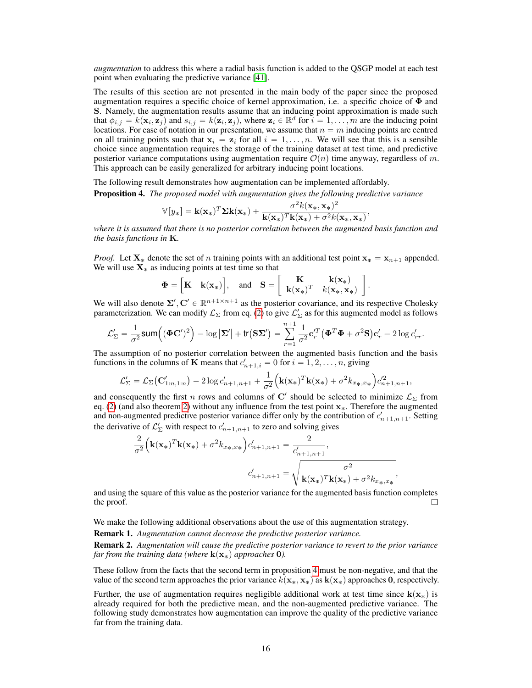*augmentation* to address this where a radial basis function is added to the QSGP model at each test point when evaluating the predictive variance [\[41\]](#page-9-23).

The results of this section are not presented in the main body of the paper since the proposed augmentation requires a specific choice of kernel approximation, i.e. a specific choice of  $\Phi$  and S. Namely, the augmentation results assume that an inducing point approximation is made such that  $\phi_{i,j} = k(\mathbf{x}_i, \mathbf{z}_j)$  and  $s_{i,j} = k(\mathbf{z}_i, \mathbf{z}_j)$ , where  $\mathbf{z}_i \in \mathbb{R}^d$  for  $i = 1, \dots, m$  are the inducing point locations. For ease of notation in our presentation, we assume that  $n = m$  inducing points are centred on all training points such that  $x_i = z_i$  for all  $i = 1, ..., n$ . We will see that this is a sensible choice since augmentation requires the storage of the training dataset at test time, and predictive posterior variance computations using augmentation require  $\mathcal{O}(n)$  time anyway, regardless of m. This approach can be easily generalized for arbitrary inducing point locations.

The following result demonstrates how augmentation can be implemented affordably.

<span id="page-15-0"></span>Proposition 4. *The proposed model with augmentation gives the following predictive variance*

$$
\mathbb{V}[y_*] = \mathbf{k}(\mathbf{x}_*)^T \Sigma \mathbf{k}(\mathbf{x}_*) + \frac{\sigma^2 k(\mathbf{x}_*, \mathbf{x}_*)^2}{\mathbf{k}(\mathbf{x}_*)^T \mathbf{k}(\mathbf{x}_*) + \sigma^2 k(\mathbf{x}_*, \mathbf{x}_*)},
$$

*where it is assumed that there is no posterior correlation between the augmented basis function and the basis functions in* K*.*

*Proof.* Let  $X_*$  denote the set of n training points with an additional test point  $x_* = x_{n+1}$  appended. We will use  $X_*$  as inducing points at test time so that 

$$
\Phi = \begin{bmatrix} \mathbf{K} & \mathbf{k}(\mathbf{x}_*) \end{bmatrix}, \text{ and } \mathbf{S} = \begin{bmatrix} \mathbf{K} & \mathbf{k}(\mathbf{x}_*) \\ \mathbf{k}(\mathbf{x}_*)^T & k(\mathbf{x}_*, \mathbf{x}_*) \end{bmatrix}
$$

.

We will also denote  $\Sigma', C' \in \mathbb{R}^{n+1 \times n+1}$  as the posterior covariance, and its respective Cholesky parameterization. We can modify  $\mathcal{L}_\Sigma$  from eq. [\(2\)](#page-2-1) to give  $\mathcal{L}'_\Sigma$  as for this augmented model as follows

$$
\mathcal{L}'_{\Sigma} = \frac{1}{\sigma^2} \textsf{sum}\Big( (\boldsymbol{\Phi} \mathbf{C}')^2 \Big) - \log \big|\boldsymbol{\Sigma}'\big| + \textsf{tr}\big(\mathbf{S} \boldsymbol{\Sigma}'\big) = \sum_{r=1}^{n+1} \frac{1}{\sigma^2} \mathbf{c}_r'^T \big( \boldsymbol{\Phi}^T \boldsymbol{\Phi} + \sigma^2 \mathbf{S} \big) \mathbf{c}_r' - 2 \log c_{rr}'.
$$

The assumption of no posterior correlation between the augmented basis function and the basis functions in the columns of **K** means that  $c'_{n+1,i} = 0$  for  $i = 1, 2, ..., n$ , giving

$$
\mathcal{L}'_{\Sigma} = \mathcal{L}_{\Sigma}(\mathbf{C}'_{1:n,1:n}) - 2\log c'_{n+1,n+1} + \frac{1}{\sigma^2} \Big(\mathbf{k}(\mathbf{x}_*)^T \mathbf{k}(\mathbf{x}_*) + \sigma^2 k_{x_*,x_*}\Big) c'^2_{n+1,n+1},
$$

and consequently the first n rows and columns of  $\mathbf{C}'$  should be selected to minimize  $\mathcal{L}_{\Sigma}$  from eq. [\(2\)](#page-2-1) (and also theorem [2\)](#page-3-1) without any influence from the test point  $x<sub>*</sub>$ . Therefore the augmented and non-augmented predictive posterior variance differ only by the contribution of  $c'_{n+1,n+1}$ . Setting the derivative of  $\mathcal{L}'_{\Sigma}$  with respect to  $c'_{n+1,n+1}$  to zero and solving gives

$$
\frac{2}{\sigma^2} \Big( \mathbf{k}(\mathbf{x}_*)^T \mathbf{k}(\mathbf{x}_*) + \sigma^2 k_{x_*,x_*} \Big) c'_{n+1,n+1} = \frac{2}{c'_{n+1,n+1}},
$$
\n
$$
c'_{n+1,n+1} = \sqrt{\frac{\sigma^2}{\mathbf{k}(\mathbf{x}_*)^T \mathbf{k}(\mathbf{x}_*) + \sigma^2 k_{x_*,x_*}}},
$$

and using the square of this value as the posterior variance for the augmented basis function completes the proof.  $\Box$ 

We make the following additional observations about the use of this augmentation strategy.

Remark 1. *Augmentation cannot decrease the predictive posterior variance.*

<span id="page-15-1"></span>Remark 2. *Augmentation will cause the predictive posterior variance to revert to the prior variance far from the training data (where*  $\mathbf{k}(\mathbf{x}_*)$  *approaches* 0*)*.

These follow from the facts that the second term in proposition [4](#page-15-0) must be non-negative, and that the value of the second term approaches the prior variance  $k(\mathbf{x}_*, \mathbf{x}_*)$  as  $k(\mathbf{x}_*)$  approaches 0, respectively.

Further, the use of augmentation requires negligible additional work at test time since  $k(x_*)$  is already required for both the predictive mean, and the non-augmented predictive variance. The following study demonstrates how augmentation can improve the quality of the predictive variance far from the training data.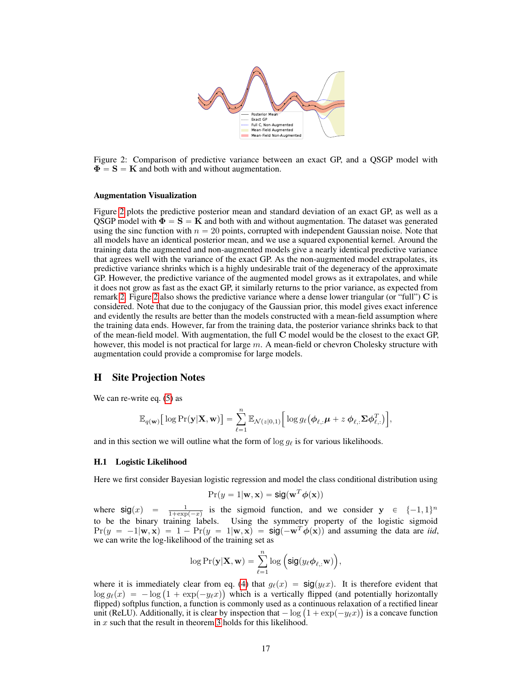

<span id="page-16-1"></span>Figure 2: Comparison of predictive variance between an exact GP, and a QSGP model with  $\Phi = S = K$  and both with and without augmentation.

#### Augmentation Visualization

Figure [2](#page-16-1) plots the predictive posterior mean and standard deviation of an exact GP, as well as a QSGP model with  $\Phi = S = K$  and both with and without augmentation. The dataset was generated using the sinc function with  $n = 20$  points, corrupted with independent Gaussian noise. Note that all models have an identical posterior mean, and we use a squared exponential kernel. Around the training data the augmented and non-augmented models give a nearly identical predictive variance that agrees well with the variance of the exact GP. As the non-augmented model extrapolates, its predictive variance shrinks which is a highly undesirable trait of the degeneracy of the approximate GP. However, the predictive variance of the augmented model grows as it extrapolates, and while it does not grow as fast as the exact GP, it similarly returns to the prior variance, as expected from remark [2.](#page-15-1) Figure [2](#page-16-1) also shows the predictive variance where a dense lower triangular (or "full")  $\bf{C}$  is considered. Note that due to the conjugacy of the Gaussian prior, this model gives exact inference and evidently the results are better than the models constructed with a mean-field assumption where the training data ends. However, far from the training data, the posterior variance shrinks back to that of the mean-field model. With augmentation, the full C model would be the closest to the exact GP, however, this model is not practical for large  $m$ . A mean-field or chevron Cholesky structure with augmentation could provide a compromise for large models.

### <span id="page-16-0"></span>H Site Projection Notes

We can re-write eq.  $(5)$  as

$$
\mathbb{E}_{q(\mathbf{w})}\big[\log\Pr(\mathbf{y}|\mathbf{X},\mathbf{w})\big] = \sum_{\ell=1}^n \mathbb{E}_{\mathcal{N}(z|0,1)}\big[\log g_\ell(\boldsymbol{\phi}_{\ell,:}\boldsymbol{\mu} + z \boldsymbol{\phi}_{\ell,:}\boldsymbol{\Sigma}\boldsymbol{\phi}_{\ell,:}^T)\big],
$$

and in this section we will outline what the form of  $\log g_\ell$  is for various likelihoods.

#### H.1 Logistic Likelihood

Here we first consider Bayesian logistic regression and model the class conditional distribution using

$$
Pr(y = 1 | \mathbf{w}, \mathbf{x}) = sig(\mathbf{w}^T \boldsymbol{\phi}(\mathbf{x}))
$$

where  $sig(x) = \frac{1}{1 + exp(-x)}$  is the sigmoid function, and we consider  $y \in \{-1, 1\}^n$ to be the binary training labels. Using the symmetry property of the logistic sigmoid  $Pr(y = -1|\mathbf{w}, \mathbf{x}) = 1 - Pr(y = 1|\mathbf{w}, \mathbf{x}) = \text{sig}(-\mathbf{w}^T \phi(\mathbf{x}))$  and assuming the data are *iid*, we can write the log-likelihood of the training set as

$$
\log \Pr(\mathbf{y}|\mathbf{X}, \mathbf{w}) = \sum_{\ell=1}^n \log \Big( \text{sig}(y_\ell \phi_{\ell,:} \mathbf{w}) \Big),
$$

where it is immediately clear from eq. [\(4\)](#page-5-1) that  $g_{\ell}(x) = \text{sig}(y_{\ell}x)$ . It is therefore evident that where it is immediately clear from eq. (4) that  $g_{\ell}(x) = \text{sig}(y_{\ell}x)$ . It is therefore evident that  $\log g_{\ell}(x) = -\log(1 + \exp(-y_{\ell}x))$  which is a vertically flipped (and potentially horizontally flipped) softplus function, a function is commonly used as a continuous relaxation of a rectified linear flipped) softplus function, a function is commonly used as a continuous relaxation of a rectified linear<br>unit (ReLU). Additionally, it is clear by inspection that  $-\log(1 + \exp(-y_{\ell}x))$  is a concave function in x such that the result in theorem [3](#page-5-2) holds for this likelihood.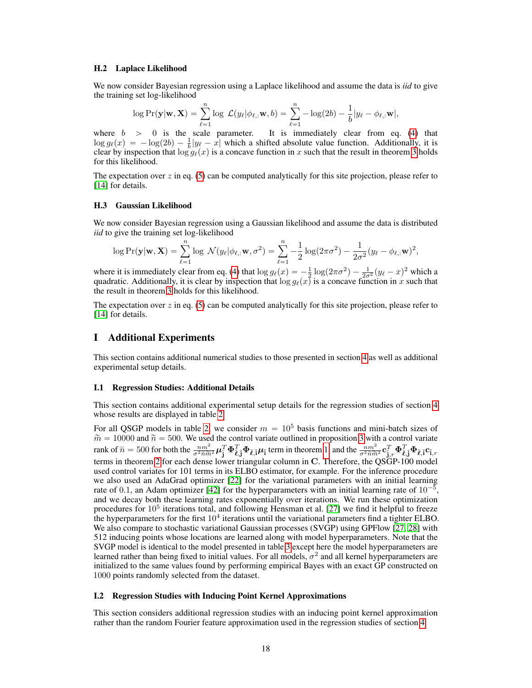#### H.2 Laplace Likelihood

We now consider Bayesian regression using a Laplace likelihood and assume the data is *iid* to give the training set log-likelihood

$$
\log \Pr(\mathbf{y}|\mathbf{w}, \mathbf{X}) = \sum_{\ell=1}^n \log \mathcal{L}(y_\ell|\phi_{\ell,:} \mathbf{w}, b) = \sum_{\ell=1}^n -\log(2b) - \frac{1}{b}|y_\ell - \phi_{\ell,:} \mathbf{w}|,
$$

where  $b > 0$  is the scale parameter. It is immediately clear from eq. [\(4\)](#page-5-1) that  $\log g_{\ell}(x) = -\log(2b) - \frac{1}{b}|y_{\ell} - x|$  which a shifted absolute value function. Additionally, it is clear by inspection that  $\log g_{\ell}(x)$  is a concave function in x such that the result in theorem [3](#page-5-2) holds for this likelihood.

The expectation over  $z$  in eq. [\(5\)](#page-5-3) can be computed analytically for this site projection, please refer to [\[14\]](#page-8-13) for details.

#### H.3 Gaussian Likelihood

We now consider Bayesian regression using a Gaussian likelihood and assume the data is distributed *iid* to give the training set log-likelihood

$$
\log \Pr(\mathbf{y}|\mathbf{w}, \mathbf{X}) = \sum_{\ell=1}^n \log \, \mathcal{N}(y_\ell|\phi_{\ell,:} \mathbf{w}, \sigma^2) = \sum_{\ell=1}^n -\frac{1}{2} \log(2\pi\sigma^2) - \frac{1}{2\sigma^2} (y_\ell - \phi_{\ell,:} \mathbf{w})^2,
$$

where it is immediately clear from eq. [\(4\)](#page-5-1) that  $\log g_\ell(x) = -\frac{1}{2} \log(2\pi\sigma^2) - \frac{1}{2\sigma^2} (y_\ell - x)^2$  which a quadratic. Additionally, it is clear by inspection that  $\log g_\ell(x)$  is a concave function in x such that the result in theorem [3](#page-5-2) holds for this likelihood.

The expectation over  $z$  in eq. [\(5\)](#page-5-3) can be computed analytically for this site projection, please refer to [\[14\]](#page-8-13) for details.

### I Additional Experiments

This section contains additional numerical studies to those presented in section [4](#page-6-0) as well as additional experimental setup details.

#### <span id="page-17-0"></span>I.1 Regression Studies: Additional Details

This section contains additional experimental setup details for the regression studies of section [4](#page-6-0) whose results are displayed in table [2.](#page-7-0)

For all QSGP models in table [2,](#page-7-0) we consider  $m = 10^5$  basis functions and mini-batch sizes of  $\tilde{m} = 10000$  and  $\tilde{n} = 500$ . We used the control variate outlined in proposition [3](#page-4-3) with a control variate rank of  $\bar{n} = 500$  for both the  $\frac{n m^2}{\sigma^2 \tilde{n} \tilde{m}^2} \boldsymbol{\mu}_{\tilde{\mathbf{j}}}^T \boldsymbol{\Phi}_{\tilde{\mathbf{\ell}},\tilde{\mathbf{j}}}^T \boldsymbol{\Phi}_{\tilde{\mathbf{\ell}},\tilde{\mathbf{j}}} \boldsymbol{\mu}_{\tilde{\mathbf{i}}}$  term in theorem [1,](#page-2-2) and the  $\frac{n m^2}{\sigma^2 \tilde{n} \tilde{m}^2} \mathbf{c}_{\tilde{\mathbf{j}}_r}^T \boldsymbol{\Phi}_{\tilde{\$ terms in theorem [2](#page-3-1) for each dense lower triangular column in C. Therefore, the QSGP-100 model used control variates for 101 terms in its ELBO estimator, for example. For the inference procedure we also used an AdaGrad optimizer [\[22\]](#page-9-4) for the variational parameters with an initial learning rate of 0.1, an Adam optimizer [\[42\]](#page-10-0) for the hyperparameters with an initial learning rate of  $10^{-5}$ , and we decay both these learning rates exponentially over iterations. We run these optimization procedures for  $10^5$  iterations total, and following Hensman et al. [\[27\]](#page-9-9) we find it helpful to freeze the hyperparameters for the first  $10^4$  iterations until the variational parameters find a tighter ELBO. We also compare to stochastic variational Gaussian processes (SVGP) using GPFlow [\[27,](#page-9-9) [28\]](#page-9-10) with 512 inducing points whose locations are learned along with model hyperparameters. Note that the SVGP model is identical to the model presented in table [3](#page-18-1) except here the model hyperparameters are learned rather than being fixed to initial values. For all models,  $\sigma^2$  and all kernel hyperparameters are initialized to the same values found by performing empirical Bayes with an exact GP constructed on 1000 points randomly selected from the dataset.

### <span id="page-17-1"></span>I.2 Regression Studies with Inducing Point Kernel Approximations

This section considers additional regression studies with an inducing point kernel approximation rather than the random Fourier feature approximation used in the regression studies of section [4.](#page-6-0)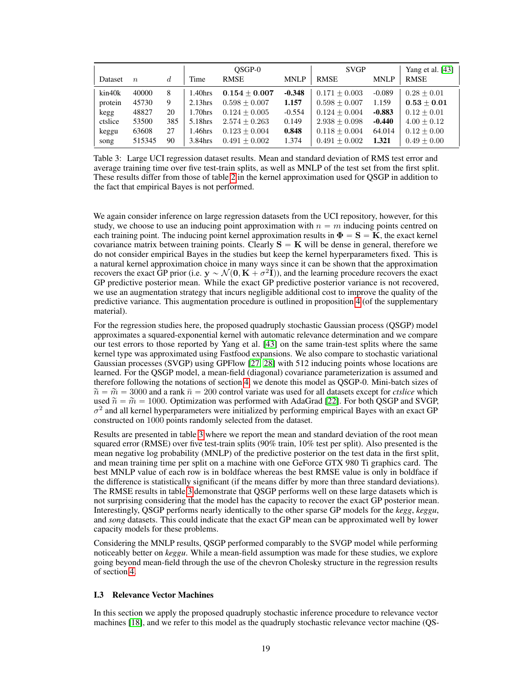|         |                  |     | OSGP-0              |                 |             | <b>SVGP</b>     |             | Yang et al. [43] |
|---------|------------------|-----|---------------------|-----------------|-------------|-----------------|-------------|------------------|
| Dataset | $\boldsymbol{n}$ | d   | Time                | <b>RMSE</b>     | <b>MNLP</b> | <b>RMSE</b>     | <b>MNLP</b> | <b>RMSE</b>      |
| kin40k  | 40000            | 8   | $1.40$ hrs          | $0.154 + 0.007$ | $-0.348$    | $0.171 + 0.003$ | $-0.089$    | $0.28 + 0.01$    |
| protein | 45730            | 9   | 2.13 <sub>hrs</sub> | $0.598 + 0.007$ | 1.157       | $0.598 + 0.007$ | 1.159       | $0.53 + 0.01$    |
| kegg    | 48827            | 20  | 1.70hrs             | $0.124 + 0.005$ | $-0.554$    | $0.124 + 0.004$ | $-0.883$    | $0.12 + 0.01$    |
| ctslice | 53500            | 385 | 5.18hrs             | $2.574 + 0.263$ | 0.149       | $2.938 + 0.098$ | $-0.440$    | $4.00 + 0.12$    |
| keggu   | 63608            | 27  | 1.46hrs             | $0.123 + 0.004$ | 0.848       | $0.118 + 0.004$ | 64.014      | $0.12 + 0.00$    |
| song    | 515345           | 90  | 3.84hrs             | $0.491 + 0.002$ | 1.374       | $0.491 + 0.002$ | 1.321       | $0.49 + 0.00$    |

<span id="page-18-1"></span>Table 3: Large UCI regression dataset results. Mean and standard deviation of RMS test error and average training time over five test-train splits, as well as MNLP of the test set from the first split. These results differ from those of table [2](#page-7-0) in the kernel approximation used for QSGP in addition to the fact that empirical Bayes is not performed.

We again consider inference on large regression datasets from the UCI repository, however, for this study, we choose to use an inducing point approximation with  $n = m$  inducing points centred on each training point. The inducing point kernel approximation results in  $\Phi = S = K$ , the exact kernel covariance matrix between training points. Clearly  $S = K$  will be dense in general, therefore we do not consider empirical Bayes in the studies but keep the kernel hyperparameters fixed. This is a natural kernel approximation choice in many ways since it can be shown that the approximation recovers the exact GP prior (i.e.  $y \sim \mathcal{N}(0, K + \sigma^2 I)$ ), and the learning procedure recovers the exact GP predictive posterior mean. While the exact GP predictive posterior variance is not recovered, we use an augmentation strategy that incurs negligible additional cost to improve the quality of the predictive variance. This augmentation procedure is outlined in proposition [4](#page-15-0) (of the supplementary material).

For the regression studies here, the proposed quadruply stochastic Gaussian process (QSGP) model approximates a squared-exponential kernel with automatic relevance determination and we compare our test errors to those reported by Yang et al. [\[43\]](#page-10-1) on the same train-test splits where the same kernel type was approximated using Fastfood expansions. We also compare to stochastic variational Gaussian processes (SVGP) using GPFlow [\[27,](#page-9-9) [28\]](#page-9-10) with 512 inducing points whose locations are learned. For the QSGP model, a mean-field (diagonal) covariance parameterization is assumed and therefore following the notations of section [4,](#page-6-0) we denote this model as QSGP-0. Mini-batch sizes of  $\widetilde{n} = \widetilde{m} = 3000$  and a rank  $\overline{n} = 200$  control variate was used for all datasets except for *ctslice* which used  $\widetilde{n} = \widetilde{m} = 1000$ . Optimization was performed with AdaGrad [\[22\]](#page-9-4). For both QSGP and SVGP,  $\sigma^2$  and all kernel hyperparameters were initialized by performing empirical Bayes with an exact GP constructed on 1000 points randomly selected from the dataset.

Results are presented in table [3](#page-18-1) where we report the mean and standard deviation of the root mean squared error (RMSE) over five test-train splits (90% train, 10% test per split). Also presented is the mean negative log probability (MNLP) of the predictive posterior on the test data in the first split, and mean training time per split on a machine with one GeForce GTX 980 Ti graphics card. The best MNLP value of each row is in boldface whereas the best RMSE value is only in boldface if the difference is statistically significant (if the means differ by more than three standard deviations). The RMSE results in table [3](#page-18-1) demonstrate that QSGP performs well on these large datasets which is not surprising considering that the model has the capacity to recover the exact GP posterior mean. Interestingly, QSGP performs nearly identically to the other sparse GP models for the *kegg*, *keggu*, and *song* datasets. This could indicate that the exact GP mean can be approximated well by lower capacity models for these problems.

Considering the MNLP results, QSGP performed comparably to the SVGP model while performing noticeably better on *keggu*. While a mean-field assumption was made for these studies, we explore going beyond mean-field through the use of the chevron Cholesky structure in the regression results of section [4.](#page-6-0)

### <span id="page-18-0"></span>I.3 Relevance Vector Machines

In this section we apply the proposed quadruply stochastic inference procedure to relevance vector machines [\[18\]](#page-9-0), and we refer to this model as the quadruply stochastic relevance vector machine (QS-